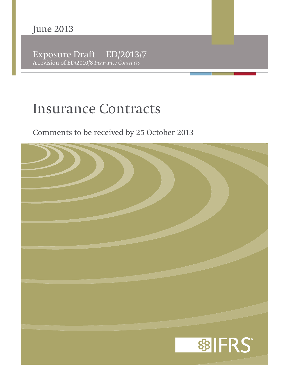Exposure Draft ED/2013/7 A revision of ED/2010/8 *Insurance Contracts*

# **Insurance Contracts**

Comments to be received by 25 October 2013

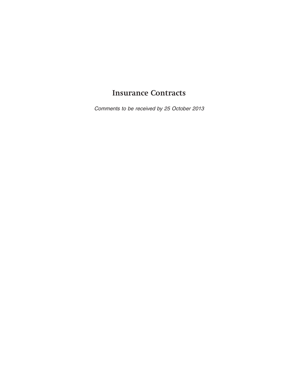# **Insurance Contracts**

Comments to be received by 25 October 2013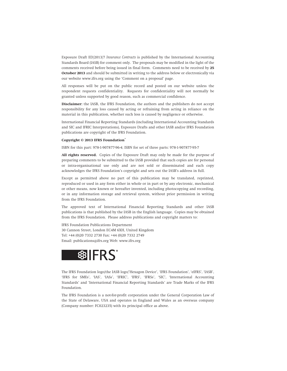Exposure Draft ED/2013/7 *Insurance Contracts* is published by the International Accounting Standards Board (IASB) for comment only. The proposals may be modified in the light of the comments received before being issued in final form. Comments need to be received by **25 October 2013** and should be submitted in writing to the address below or electronically via our website www.ifrs.org using the 'Comment on a proposal' page.

All responses will be put on the public record and posted on our website unless the respondent requests confidentiality. Requests for confidentiality will not normally be granted unless supported by good reason, such as commercial confidence.

**Disclaimer:** the IASB, the IFRS Foundation, the authors and the publishers do not accept responsibility for any loss caused by acting or refraining from acting in reliance on the material in this publication, whether such loss is caused by negligence or otherwise.

International Financial Reporting Standards (including International Accounting Standards and SIC and IFRIC Interpretations), Exposure Drafts and other IASB and/or IFRS Foundation publications are copyright of the IFRS Foundation.

#### **Copyright © 2013 IFRS Foundation®**

ISBN for this part: 978-1-907877-96-4; ISBN for set of three parts: 978-1-907877-95-7

**All rights reserved.** Copies of the Exposure Draft may only be made for the purpose of preparing comments to be submitted to the IASB provided that such copies are for personal or intra-organisational use only and are not sold or disseminated and each copy acknowledges the IFRS Foundation's copyright and sets out the IASB's address in full.

Except as permitted above no part of this publication may be translated, reprinted, reproduced or used in any form either in whole or in part or by any electronic, mechanical or other means, now known or hereafter invented, including photocopying and recording, or in any information storage and retrieval system, without prior permission in writing from the IFRS Foundation.

The approved text of International Financial Reporting Standards and other IASB publications is that published by the IASB in the English language. Copies may be obtained from the IFRS Foundation. Please address publications and copyright matters to:

IFRS Foundation Publications Department 30 Cannon Street, London EC4M 6XH, United Kingdom Tel: +44 (0)20 7332 2730 Fax: +44 (0)20 7332 2749 Email: publications@ifrs.org Web: www.ifrs.org



The IFRS Foundation logo/the IASB logo/'Hexagon Device', 'IFRS Foundation', 'eIFRS', 'IASB', 'IFRS for SMEs', 'IAS', 'IASs', 'IFRIC', 'IFRS', 'IFRSs', 'SIC', 'International Accounting Standards' and 'International Financial Reporting Standards' are Trade Marks of the IFRS Foundation.

The IFRS Foundation is a not-for-profit corporation under the General Corporation Law of the State of Delaware, USA and operates in England and Wales as an overseas company (Company number: FC023235) with its principal office as above.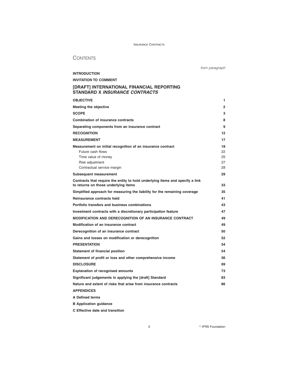# **CONTENTS**

**INTRODUCTION**

from paragraph

# **INVITATION TO COMMENT [DRAFT] INTERNATIONAL FINANCIAL REPORTING**

**STANDARD X INSURANCE CONTRACTS**

| <b>OBJECTIVE</b>                                                                                                                                         | 1                          |
|----------------------------------------------------------------------------------------------------------------------------------------------------------|----------------------------|
| Meeting the objective                                                                                                                                    | $\overline{2}$             |
| <b>SCOPE</b>                                                                                                                                             | 3                          |
| <b>Combination of insurance contracts</b>                                                                                                                | 8                          |
| Separating components from an insurance contract                                                                                                         | 9                          |
| <b>RECOGNITION</b>                                                                                                                                       | 12                         |
| <b>MEASUREMENT</b>                                                                                                                                       | 17                         |
| Measurement on initial recognition of an insurance contract<br>Future cash flows<br>Time value of money<br>Risk adjustment<br>Contractual service margin | 18<br>22<br>25<br>27<br>28 |
| <b>Subsequent measurement</b>                                                                                                                            | 29                         |
| Contracts that require the entity to hold underlying items and specify a link<br>to returns on those underlying items                                    | 33                         |
| Simplified approach for measuring the liability for the remaining coverage                                                                               | 35                         |
| Reinsurance contracts held                                                                                                                               | 41                         |
| Portfolio transfers and business combinations                                                                                                            | 43                         |
| Investment contracts with a discretionary participation feature                                                                                          | 47                         |
| <b>MODIFICATION AND DERECOGNITION OF AN INSURANCE CONTRACT</b>                                                                                           | 49                         |
| Modification of an insurance contract                                                                                                                    | 49                         |
| Derecognition of an insurance contract                                                                                                                   | 50                         |
| Gains and losses on modification or derecognition                                                                                                        | 52                         |
| <b>PRESENTATION</b>                                                                                                                                      | 54                         |
| <b>Statement of financial position</b>                                                                                                                   | 54                         |
| Statement of profit or loss and other comprehensive income                                                                                               | 56                         |
| <b>DISCLOSURE</b>                                                                                                                                        | 69                         |
| <b>Explanation of recognised amounts</b>                                                                                                                 | 73                         |
| Significant judgements in applying the [draft] Standard                                                                                                  | 83                         |
| Nature and extent of risks that arise from insurance contracts                                                                                           | 86                         |
| <b>APPENDICES</b>                                                                                                                                        |                            |
| A Defined terms                                                                                                                                          |                            |

**B Application guidance**

**C Effective date and transition**

3 **B IFRS Foundation**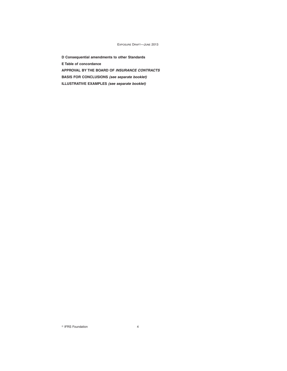**D Consequential amendments to other Standards E Table of concordance APPROVAL BY THE BOARD OF INSURANCE CONTRACTS BASIS FOR CONCLUSIONS (see separate booklet) ILLUSTRATIVE EXAMPLES (see separate booklet)**

 $\degree$  IFRS Foundation  $4$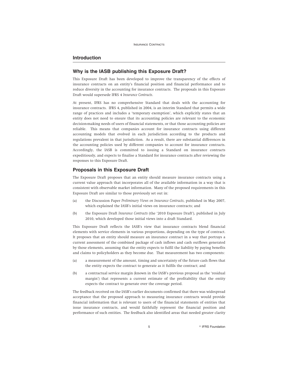# **Introduction**

#### **Why is the IASB publishing this Exposure Draft?**

This Exposure Draft has been developed to improve the transparency of the effects of insurance contracts on an entity's financial position and financial performance and to reduce diversity in the accounting for insurance contracts. The proposals in this Exposure Draft would supersede IFRS 4 *Insurance Contracts*.

At present, IFRS has no comprehensive Standard that deals with the accounting for insurance contracts. IFRS 4, published in 2004, is an interim Standard that permits a wide range of practices and includes a 'temporary exemption', which explicitly states that an entity does not need to ensure that its accounting policies are relevant to the economic decision-making needs of users of financial statements, or that those accounting policies are reliable. This means that companies account for insurance contracts using different accounting models that evolved in each jurisdiction according to the products and regulations prevalent in that jurisdiction. As a result, there are substantial differences in the accounting policies used by different companies to account for insurance contracts. Accordingly, the IASB is committed to issuing a Standard on insurance contracts expeditiously, and expects to finalise a Standard for insurance contracts after reviewing the responses to this Exposure Draft.

# **Proposals in this Exposure Draft**

The Exposure Draft proposes that an entity should measure insurance contracts using a current value approach that incorporates all of the available information in a way that is consistent with observable market information. Many of the proposed requirements in this Exposure Draft are similar to those previously set out in:

- (a) the Discussion Paper *Preliminary Views on Insurance Contracts*, published in May 2007, which explained the IASB's initial views on insurance contracts; and
- (b) the Exposure Draft *Insurance Contracts* (the '2010 Exposure Draft'), published in July 2010, which developed those initial views into a draft Standard.

This Exposure Draft reflects the IASB's view that insurance contracts blend financial elements with service elements in various proportions, depending on the type of contract. It proposes that an entity should measure an insurance contract in a way that portrays a current assessment of the combined package of cash inflows and cash outflows generated by those elements, assuming that the entity expects to fulfil the liability by paying benefits and claims to policyholders as they become due. That measurement has two components:

- (a) a measurement of the amount, timing and uncertainty of the future cash flows that the entity expects the contract to generate as it fulfils the contract; and
- (b) a contractual service margin (known in the IASB's previous proposal as the 'residual margin') that represents a current estimate of the profitability that the entity expects the contract to generate over the coverage period.

The feedback received on the IASB's earlier documents confirmed that there was widespread acceptance that the proposed approach to measuring insurance contracts would provide financial information that is relevant to users of the financial statements of entities that issue insurance contracts, and would faithfully represent the financial position and performance of such entities. The feedback also identified areas that needed greater clarity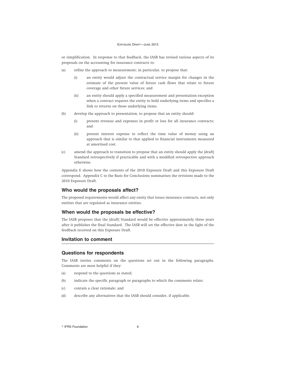or simplification. In response to that feedback, the IASB has revised various aspects of its proposals on the accounting for insurance contracts to:

- (a) refine the approach to measurement; in particular, to propose that:
	- (i) an entity would adjust the contractual service margin for changes in the estimate of the present value of future cash flows that relate to future coverage and other future services; and
	- (ii) an entity should apply a specified measurement and presentation exception when a contract requires the entity to hold underlying items and specifies a link to returns on those underlying items.
- (b) develop the approach to presentation, to propose that an entity should:
	- (i) present revenue and expenses in profit or loss for all insurance contracts; and
	- (ii) present interest expense to reflect the time value of money using an approach that is similar to that applied to financial instruments measured at amortised cost.
- (c) amend the approach to transition to propose that an entity should apply the [draft] Standard retrospectively if practicable and with a modified retrospective approach otherwise.

Appendix E shows how the contents of the 2010 Exposure Draft and this Exposure Draft correspond. Appendix C to the Basis for Conclusions summarises the revisions made to the 2010 Exposure Draft.

# **Who would the proposals affect?**

The proposed requirements would affect any entity that issues insurance contracts, not only entities that are regulated as insurance entities.

# **When would the proposals be effective?**

The IASB proposes that the [draft] Standard would be effective approximately three years after it publishes the final Standard. The IASB will set the effective date in the light of the feedback received on this Exposure Draft.

# **Invitation to comment**

#### **Questions for respondents**

The IASB invites comments on the questions set out in the following paragraphs. Comments are most helpful if they:

- (a) respond to the questions as stated;
- (b) indicate the specific paragraph or paragraphs to which the comments relate;
- (c) contain a clear rationale; and
- (d) describe any alternatives that the IASB should consider, if applicable.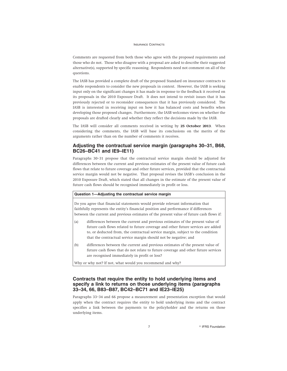Comments are requested from both those who agree with the proposed requirements and those who do not. Those who disagree with a proposal are asked to describe their suggested alternative(s), supported by specific reasoning. Respondents need not comment on all of the questions.

The IASB has provided a complete draft of the proposed Standard on insurance contracts to enable respondents to consider the new proposals in context. However, the IASB is seeking input only on the significant changes it has made in response to the feedback it received on its proposals in the 2010 Exposure Draft. It does not intend to revisit issues that it has previously rejected or to reconsider consequences that it has previously considered. The IASB is interested in receiving input on how it has balanced costs and benefits when developing those proposed changes. Furthermore, the IASB welcomes views on whether the proposals are drafted clearly and whether they reflect the decisions made by the IASB.

The IASB will consider all comments received in writing by **25 October 2013**. When considering the comments, the IASB will base its conclusions on the merits of the arguments rather than on the number of comments it receives.

# **Adjusting the contractual service margin (paragraphs 30–31, B68, BC26–BC41 and IE9–IE11)**

Paragraphs 30–31 propose that the contractual service margin should be adjusted for differences between the current and previous estimates of the present value of future cash flows that relate to future coverage and other future services, provided that the contractual service margin would not be negative. That proposal revises the IASB's conclusion in the 2010 Exposure Draft, which stated that all changes in the estimate of the present value of future cash flows should be recognised immediately in profit or loss.

#### **Question 1—Adjusting the contractual service margin**

Do you agree that financial statements would provide relevant information that faithfully represents the entity's financial position and performance if differences between the current and previous estimates of the present value of future cash flows if:

- (a) differences between the current and previous estimates of the present value of future cash flows related to future coverage and other future services are added to, or deducted from, the contractual service margin, subject to the condition that the contractual service margin should not be negative; and
- (b) differences between the current and previous estimates of the present value of future cash flows that do not relate to future coverage and other future services are recognised immediately in profit or loss?

Why or why not? If not, what would you recommend and why?

# **Contracts that require the entity to hold underlying items and specify a link to returns on those underlying items (paragraphs 33–34, 66, B83–B87, BC42–BC71 and IE23–IE25)**

Paragraphs 33–34 and 66 propose a measurement and presentation exception that would apply when the contract requires the entity to hold underlying items and the contract specifies a link between the payments to the policyholder and the returns on those underlying items.

7 **Contract Contract Contract Contract Contract Contract Contract Contract Contract Contract Contract Contract Contract Contract Contract Contract Contract Contract Contract Contract Contract Contract Contract Contract Con**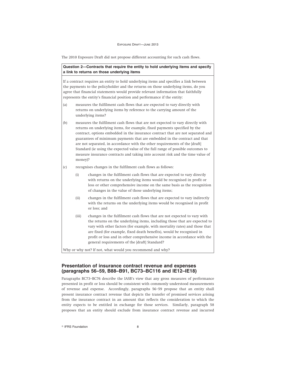The 2010 Exposure Draft did not propose different accounting for such cash flows.

# **Question 2—Contracts that require the entity to hold underlying items and specify a link to returns on those underlying items**

If a contract requires an entity to hold underlying items and specifies a link between the payments to the policyholder and the returns on those underlying items, do you agree that financial statements would provide relevant information that faithfully represents the entity's financial position and performance if the entity:

- (a) measures the fulfilment cash flows that are expected to vary directly with returns on underlying items by reference to the carrying amount of the underlying items?
- (b) measures the fulfilment cash flows that are not expected to vary directly with returns on underlying items, for example, fixed payments specified by the contract, options embedded in the insurance contract that are not separated and guarantees of minimum payments that are embedded in the contract and that are not separated, in accordance with the other requirements of the [draft] Standard (ie using the expected value of the full range of possible outcomes to measure insurance contracts and taking into account risk and the time value of money)?
- (c) recognises changes in the fulfilment cash flows as follows:
	- (i) changes in the fulfilment cash flows that are expected to vary directly with returns on the underlying items would be recognised in profit or loss or other comprehensive income on the same basis as the recognition of changes in the value of those underlying items;
	- (ii) changes in the fulfilment cash flows that are expected to vary indirectly with the returns on the underlying items would be recognised in profit or loss; and
	- (iii) changes in the fulfilment cash flows that are not expected to vary with the returns on the underlying items, including those that are expected to vary with other factors (for example, with mortality rates) and those that are fixed (for example, fixed death benefits), would be recognised in profit or loss and in other comprehensive income in accordance with the general requirements of the [draft] Standard?

Why or why not? If not, what would you recommend and why?

# **Presentation of insurance contract revenue and expenses (paragraphs 56–59, B88–B91, BC73–BC116 and IE12–IE18)**

Paragraphs BC73–BC76 describe the IASB's view that any gross measures of performance presented in profit or loss should be consistent with commonly understood measurements of revenue and expense. Accordingly, paragraphs 56–59 propose that an entity shall present insurance contract revenue that depicts the transfer of promised services arising from the insurance contract in an amount that reflects the consideration to which the entity expects to be entitled in exchange for those services. Similarly, paragraph 58 proposes that an entity should exclude from insurance contract revenue and incurred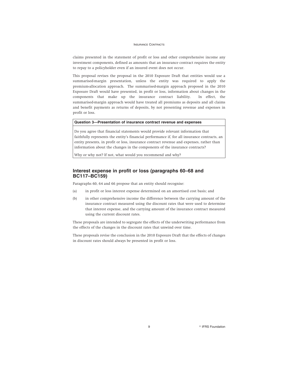claims presented in the statement of profit or loss and other comprehensive income any investment components, defined as amounts that an insurance contract requires the entity to repay to a policyholder even if an insured event does not occur.

This proposal revises the proposal in the 2010 Exposure Draft that entities would use a summarised-margin presentation, unless the entity was required to apply the premium-allocation approach. The summarised-margin approach proposed in the 2010 Exposure Draft would have presented, in profit or loss, information about changes in the components that make up the insurance contract liability. In effect, the summarised-margin approach would have treated all premiums as deposits and all claims and benefit payments as returns of deposits, by not presenting revenue and expenses in profit or loss.

#### **Question 3—Presentation of insurance contract revenue and expenses**

Do you agree that financial statements would provide relevant information that faithfully represents the entity's financial performance if, for all insurance contracts, an entity presents, in profit or loss, insurance contract revenue and expenses, rather than information about the changes in the components of the insurance contracts?

Why or why not? If not, what would you recommend and why?

# **Interest expense in profit or loss (paragraphs 60–68 and BC117–BC159)**

Paragraphs 60, 64 and 66 propose that an entity should recognise:

- (a) in profit or loss interest expense determined on an amortised cost basis; and
- (b) in other comprehensive income the difference between the carrying amount of the insurance contract measured using the discount rates that were used to determine that interest expense, and the carrying amount of the insurance contract measured using the current discount rates.

These proposals are intended to segregate the effects of the underwriting performance from the effects of the changes in the discount rates that unwind over time.

These proposals revise the conclusion in the 2010 Exposure Draft that the effects of changes in discount rates should always be presented in profit or loss.

9 **PERS Foundation**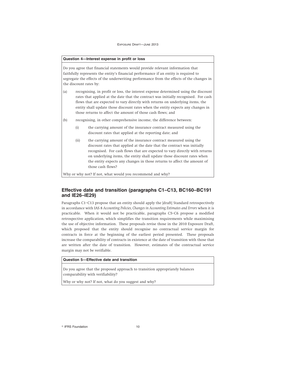### **Question 4—Interest expense in profit or loss**

Do you agree that financial statements would provide relevant information that faithfully represents the entity's financial performance if an entity is required to segregate the effects of the underwriting performance from the effects of the changes in the discount rates by:

- (a) recognising, in profit or loss, the interest expense determined using the discount rates that applied at the date that the contract was initially recognised. For cash flows that are expected to vary directly with returns on underlying items, the entity shall update those discount rates when the entity expects any changes in those returns to affect the amount of those cash flows; and
- (b) recognising, in other comprehensive income, the difference between:
	- (i) the carrying amount of the insurance contract measured using the discount rates that applied at the reporting date; and
	- (ii) the carrying amount of the insurance contract measured using the discount rates that applied at the date that the contract was initially recognised. For cash flows that are expected to vary directly with returns on underlying items, the entity shall update those discount rates when the entity expects any changes in those returns to affect the amount of those cash flows?

Why or why not? If not, what would you recommend and why?

# **Effective date and transition (paragraphs C1–C13, BC160–BC191 and IE26–IE29)**

Paragraphs C1–C13 propose that an entity should apply the [draft] Standard retrospectively in accordance with IAS 8 *Accounting Policies, Changes in Accounting Estimates and Errors* when it is practicable. When it would not be practicable, paragraphs C5–C6 propose a modified retrospective application, which simplifies the transition requirements while maximising the use of objective information. These proposals revise those in the 2010 Exposure Draft, which proposed that the entity should recognise no contractual service margin for contracts in force at the beginning of the earliest period presented. These proposals increase the comparability of contracts in existence at the date of transition with those that are written after the date of transition. However, estimates of the contractual service margin may not be verifiable.

# **Question 5—Effective date and transition**

Do you agree that the proposed approach to transition appropriately balances comparability with verifiability?

Why or why not? If not, what do you suggest and why?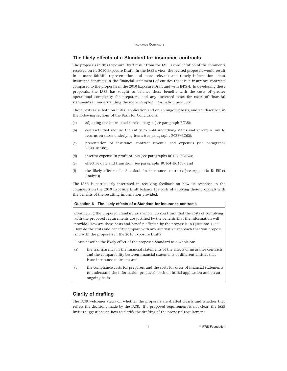# **The likely effects of a Standard for insurance contracts**

The proposals in this Exposure Draft result from the IASB's consideration of the comments received on its 2010 Exposure Draft. In the IASB's view, the revised proposals would result in a more faithful representation and more relevant and timely information about insurance contracts in the financial statements of entities that issue insurance contracts compared to the proposals in the 2010 Exposure Draft and with IFRS 4. In developing these proposals, the IASB has sought to balance those benefits with the costs of greater operational complexity for preparers, and any increased costs for users of financial statements in understanding the more complex information produced.

Those costs arise both on initial application and on an ongoing basis, and are described in the following sections of the Basis for Conclusions:

- (a) adjusting the contractual service margin (see paragraph BC35);
- (b) contracts that require the entity to hold underlying items and specify a link to returns on those underlying items (see paragraphs BC56–BC62);
- (c) presentation of insurance contract revenue and expenses (see paragraphs BC99–BC100);
- (d) interest expense in profit or loss (see paragraphs BC127–BC132);
- (e) effective date and transition (see paragraphs BC164–BC173); and
- (f) the likely effects of a Standard for insurance contracts (see Appendix B: Effect Analysis).

The IASB is particularly interested in receiving feedback on how its response to the comments on the 2010 Exposure Draft balance the costs of applying these proposals with the benefits of the resulting information provided.

#### **Question 6—The likely effects of a Standard for insurance contracts**

Considering the proposed Standard as a whole, do you think that the costs of complying with the proposed requirements are justified by the benefits that the information will provide? How are those costs and benefits affected by the proposals in Questions 1–5? How do the costs and benefits compare with any alternative approach that you propose and with the proposals in the 2010 Exposure Draft?

Please describe the likely effect of the proposed Standard as a whole on:

- (a) the transparency in the financial statements of the effects of insurance contracts and the comparability between financial statements of different entities that issue insurance contracts; and
- (b) the compliance costs for preparers and the costs for users of financial statements to understand the information produced, both on initial application and on an ongoing basis.

# **Clarity of drafting**

The IASB welcomes views on whether the proposals are drafted clearly and whether they reflect the decisions made by the IASB. If a proposed requirement is not clear, the IASB invites suggestions on how to clarify the drafting of the proposed requirement.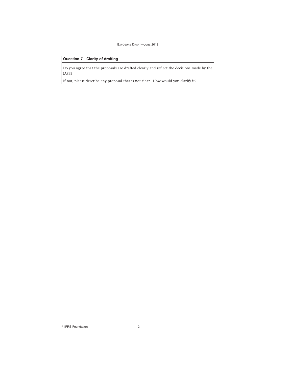# **Question 7—Clarity of drafting**

Do you agree that the proposals are drafted clearly and reflect the decisions made by the IASB?

If not, please describe any proposal that is not clear. How would you clarify it?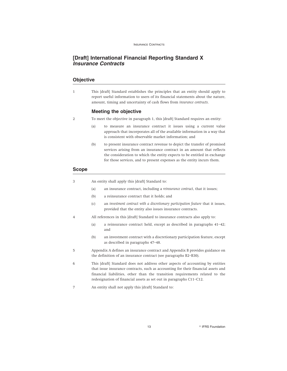# **[Draft] International Financial Reporting Standard X Insurance Contracts**

# **Objective**

1 This [draft] Standard establishes the principles that an entity should apply to report useful information to users of its financial statements about the nature, amount, timing and uncertainty of cash flows from *insurance contracts*.

# **Meeting the objective**

- 2 To meet the objective in paragraph 1, this [draft] Standard requires an entity:
	- (a) to measure an insurance contract it issues using a current value approach that incorporates all of the available information in a way that is consistent with observable market information; and
	- (b) to present insurance contract revenue to depict the transfer of promised services arising from an insurance contract in an amount that reflects the consideration to which the entity expects to be entitled in exchange for those services, and to present expenses as the entity incurs them.

# **Scope**

3 An entity shall apply this [draft] Standard to:

- (a) an insurance contract, including a *reinsurance contract*, that it issues;
- (b) a reinsurance contract that it holds; and
- (c) an *investment contract with a discretionary participation feature* that it issues, provided that the entity also issues insurance contracts.
- 4 All references in this [draft] Standard to insurance contracts also apply to:
	- (a) a reinsurance contract held, except as described in paragraphs 41–42; and
	- (b) an investment contract with a discretionary participation feature, except as described in paragraphs 47–48.
- 5 Appendix A defines an insurance contract and Appendix B provides guidance on the definition of an insurance contract (see paragraphs B2–B30).
- 6 This [draft] Standard does not address other aspects of accounting by entities that issue insurance contracts, such as accounting for their financial assets and financial liabilities, other than the transition requirements related to the redesignation of financial assets as set out in paragraphs C11–C12.
- 7 An entity shall not apply this [draft] Standard to:

13 **R IFRS Foundation**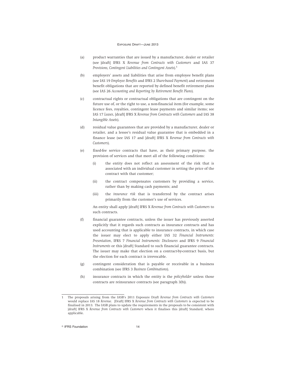- (a) product warranties that are issued by a manufacturer, dealer or retailer (see [draft] IFRS X *Revenue from Contracts with Customers* and IAS 37 *Provisions, Contingent Liabilities and Contingent Assets*).<sup>1</sup>
- (b) employers' assets and liabilities that arise from employee benefit plans (see IAS 19 *Employee Benefits* and IFRS 2 *Share-based Payment*) and retirement benefit obligations that are reported by defined benefit retirement plans (see IAS 26 *Accounting and Reporting by Retirement Benefit Plans*).
- (c) contractual rights or contractual obligations that are contingent on the future use of, or the right to use, a non-financial item (for example, some licence fees, royalties, contingent lease payments and similar items; see IAS 17 *Leases*, [draft] IFRS X *Revenue from Contracts with Customers* and IAS 38 *Intangible Assets*).
- (d) residual value guarantees that are provided by a manufacturer, dealer or retailer, and a lessee's residual value guarantee that is embedded in a finance lease (see IAS 17 and [draft] IFRS X *Revenue from Contracts with Customers*).
- (e) fixed-fee service contracts that have, as their primary purpose, the provision of services and that meet all of the following conditions:
	- (i) the entity does not reflect an assessment of the risk that is associated with an individual customer in setting the price of the contract with that customer;
	- (ii) the contract compensates customers by providing a service, rather than by making cash payments; and
	- (iii) the *insurance risk* that is transferred by the contract arises primarily from the customer's use of services.

An entity shall apply [draft] IFRS X *Revenue from Contracts with Customers* to such contracts.

- (f) financial guarantee contracts, unless the issuer has previously asserted explicitly that it regards such contracts as insurance contracts and has used accounting that is applicable to insurance contracts, in which case the issuer may elect to apply either IAS 32 *Financial Instruments: Presentation*, IFRS 7 *Financial Instruments: Disclosures* and IFRS 9 *Financial Instruments* or this [draft] Standard to such financial guarantee contracts. The issuer may make that election on a contract-by-contract basis, but the election for each contract is irrevocable.
- (g) contingent consideration that is payable or receivable in a business combination (see IFRS 3 *Business Combinations*).
- (h) insurance contracts in which the entity is the *policyholder* unless those contracts are reinsurance contracts (see paragraph 3(b)).

<sup>1</sup> The proposals arising from the IASB's 2011 Exposure Draft *Revenue from Contracts with Customers* would replace IAS 18 *Revenue*. [Draft] IFRS X *Revenue from Contracts with Customers* is expected to be finalised in 2013. The IASB plans to update the requirements in the proposals to be consistent with [draft] IFRS X Revenue from Contracts with Customers when it finalises this [draft] Standard, where applicable.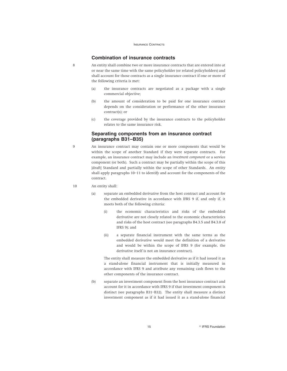# **Combination of insurance contracts**

- 8 An entity shall combine two or more insurance contracts that are entered into at or near the same time with the same policyholder (or related policyholders) and shall account for those contracts as a single insurance contract if one or more of the following criteria is met:
	- (a) the insurance contracts are negotiated as a package with a single commercial objective;
	- (b) the amount of consideration to be paid for one insurance contract depends on the consideration or performance of the other insurance contract(s); or
	- (c) the coverage provided by the insurance contracts to the policyholder relates to the same insurance risk.

# **Separating components from an insurance contract (paragraphs B31–B35)**

9 An insurance contract may contain one or more components that would be within the scope of another Standard if they were separate contracts. For example, an insurance contract may include an *investment component* or a service component (or both). Such a contract may be partially within the scope of this [draft] Standard and partially within the scope of other Standards. An entity shall apply paragraphs 10–11 to identify and account for the components of the contract.

### 10 An entity shall:

- (a) separate an embedded derivative from the host contract and account for the embedded derivative in accordance with IFRS 9 if, and only if, it meets both of the following criteria:
	- (i) the economic characteristics and risks of the embedded derivative are not closely related to the economic characteristics and risks of the host contract (see paragraphs B4.3.5 and B4.3.8 of IFRS 9); and
	- (ii) a separate financial instrument with the same terms as the embedded derivative would meet the definition of a derivative and would be within the scope of IFRS 9 (for example, the derivative itself is not an insurance contract).

The entity shall measure the embedded derivative as if it had issued it as a stand-alone financial instrument that is initially measured in accordance with IFRS 9 and attribute any remaining cash flows to the other components of the insurance contract.

(b) separate an investment component from the host insurance contract and account for it in accordance with IFRS 9 if that investment component is distinct (see paragraphs B31–B32). The entity shall measure a distinct investment component as if it had issued it as a stand-alone financial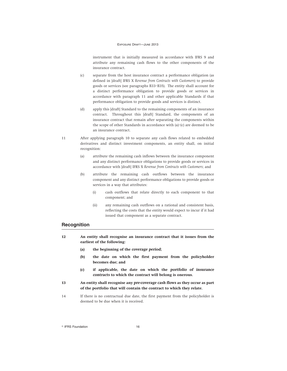instrument that is initially measured in accordance with IFRS 9 and attribute any remaining cash flows to the other components of the insurance contract.

- (c) separate from the host insurance contract a performance obligation (as defined in [draft] IFRS X *Revenue from Contracts with Customers*) to provide goods or services (see paragraphs B33–B35). The entity shall account for a distinct performance obligation to provide goods or services in accordance with paragraph 11 and other applicable Standards if that performance obligation to provide goods and services is distinct.
- (d) apply this [draft] Standard to the remaining components of an insurance contract. Throughout this [draft] Standard, the components of an insurance contract that remain after separating the components within the scope of other Standards in accordance with (a)–(c) are deemed to be an insurance contract.
- 11 After applying paragraph 10 to separate any cash flows related to embedded derivatives and distinct investment components, an entity shall, on initial recognition:
	- (a) attribute the remaining cash inflows between the insurance component and any distinct performance obligations to provide goods or services in accordance with [draft] IFRS X *Revenue from Contracts with Customers*; and
	- (b) attribute the remaining cash outflows between the insurance component and any distinct performance obligations to provide goods or services in a way that attributes:
		- (i) cash outflows that relate directly to each component to that component; and
		- (ii) any remaining cash outflows on a rational and consistent basis, reflecting the costs that the entity would expect to incur if it had issued that component as a separate contract.

# **Recognition**

- **12 An entity shall recognise an insurance contract that it issues from the earliest of the following:**
	- **(a) the beginning of the** *coverage period***;**
	- **(b) the date on which the first payment from the policyholder becomes due; and**
	- **(c) if applicable, the date on which the** *portfolio of insurance contracts* **to which the contract will belong is onerous.**
- **13 An entity shall recognise any** *pre-coverage cash flows* **as they occur as part of the portfolio that will contain the contract to which they relate.**
- 14 If there is no contractual due date, the first payment from the policyholder is deemed to be due when it is received.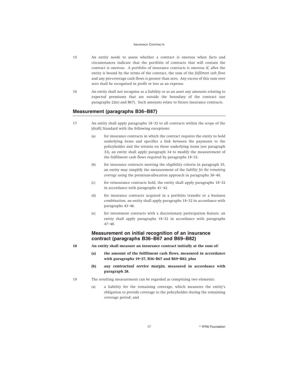- 15 An entity needs to assess whether a contract is onerous when facts and circumstances indicate that the portfolio of contracts that will contain the contract is onerous. A portfolio of insurance contracts is onerous if, after the entity is bound by the terms of the contract, the sum of the *fulfilment cash flows* and any pre-coverage cash flows is greater than zero. Any excess of this sum over zero shall be recognised in profit or loss as an expense.
- 16 An entity shall not recognise as a liability or as an asset any amounts relating to expected premiums that are outside the boundary of the contract (see paragraphs 22(e) and B67). Such amounts relate to future insurance contracts.

# **Measurement (paragraphs B36–B87)**

- 17 An entity shall apply paragraphs 18–32 to all contracts within the scope of the [draft] Standard with the following exceptions:
	- (a) for insurance contracts in which the contract requires the entity to hold underlying items and specifies a link between the payments to the policyholder and the returns on those underlying items (see paragraph 33), an entity shall apply paragraph 34 to modify the measurement of the fulfilment cash flows required by paragraphs 18–32.
	- (b) for insurance contracts meeting the eligibility criteria in paragraph 35, an entity may simplify the measurement of the *liability for the remaining coverage* using the premium-allocation approach in paragraphs 38–40.
	- (c) for reinsurance contracts held, the entity shall apply paragraphs 18–32 in accordance with paragraphs 41–42.
	- (d) for insurance contracts acquired in a portfolio transfer or a business combination, an entity shall apply paragraphs 18–32 in accordance with paragraphs 43–46.
	- (e) for investment contracts with a discretionary participation feature, an entity shall apply paragraphs 18–32 in accordance with paragraphs 47–48.

# **Measurement on initial recognition of an insurance contract (paragraphs B36–B67 and B69–B82)**

- **18 An entity shall measure an insurance contract initially at the sum of:**
	- **(a) the amount of the fulfilment cash flows, measured in accordance with paragraphs 19–27, B36–B67 and B69–B82; plus**
	- **(b) any** *contractual service margin***, measured in accordance with paragraph 28.**
- 19 The resulting measurement can be regarded as comprising two elements:
	- (a) a liability for the remaining coverage, which measures the entity's obligation to provide coverage to the policyholder during the remaining coverage period; and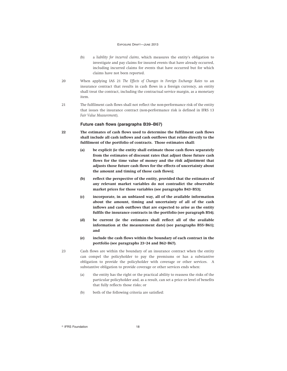- (b) a *liability for incurred claims*, which measures the entity's obligation to investigate and pay claims for insured events that have already occurred, including incurred claims for events that have occurred but for which claims have not been reported.
- 20 When applying IAS 21 *The Effects of Changes in Foreign Exchange Rates* to an insurance contract that results in cash flows in a foreign currency, an entity shall treat the contract, including the contractual service margin, as a monetary item.
- 21 The fulfilment cash flows shall not reflect the non-performance risk of the entity that issues the insurance contract (non-performance risk is defined in IFRS 13 *Fair Value Measurement*).

#### **Future cash flows (paragraphs B39–B67)**

- **22 The estimates of cash flows used to determine the fulfilment cash flows shall include all cash inflows and cash outflows that relate directly to the fulfilment of the portfolio of contracts. Those estimates shall:**
	- **(a) be explicit (ie the entity shall estimate those cash flows separately from the estimates of discount rates that adjust those future cash flows for the time value of money and the** *risk adjustment* **that adjusts those future cash flows for the effects of uncertainty about the amount and timing of those cash flows);**
	- **(b) reflect the perspective of the entity, provided that the estimates of any relevant market variables do not contradict the observable market prices for those variables (see paragraphs B43–B53);**
	- **(c) incorporate, in an unbiased way, all of the available information about the amount, timing and uncertainty of all of the cash inflows and cash outflows that are expected to arise as the entity fulfils the insurance contracts in the portfolio (see paragraph B54);**
	- **(d) be current (ie the estimates shall reflect all of the available information at the measurement date) (see paragraphs B55–B61); and**
	- **(e) include the cash flows within the boundary of each contract in the portfolio (see paragraphs 23–24 and B62–B67).**
- 23 Cash flows are within the boundary of an insurance contract when the entity can compel the policyholder to pay the premiums or has a substantive obligation to provide the policyholder with coverage or other services. A substantive obligation to provide coverage or other services ends when:
	- (a) the entity has the right or the practical ability to reassess the risks of the particular policyholder and, as a result, can set a price or level of benefits that fully reflects those risks; or
	- (b) both of the following criteria are satisfied: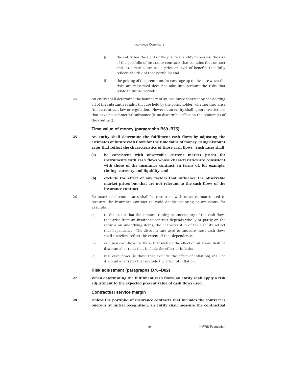- (i) the entity has the right or the practical ability to reassess the risk of the portfolio of insurance contracts that contains the contract and, as a result, can set a price or level of benefits that fully reflects the risk of that portfolio; and
- (ii) the pricing of the premiums for coverage up to the date when the risks are reassessed does not take into account the risks that relate to future periods.
- 24 An entity shall determine the boundary of an insurance contract by considering all of the substantive rights that are held by the policyholder, whether they arise from a contract, law or regulation. However, an entity shall ignore restrictions that have no commercial substance (ie no discernible effect on the economics of the contract).

# **Time value of money (paragraphs B69–B75)**

- **25 An entity shall determine the fulfilment cash flows by adjusting the estimates of future cash flows for the time value of money, using discount rates that reflect the characteristics of those cash flows. Such rates shall:**
	- **(a) be consistent with observable current market prices for instruments with cash flows whose characteristics are consistent with those of the insurance contract, in terms of, for example, timing, currency and liquidity; and**
	- **(b) exclude the effect of any factors that influence the observable market prices but that are not relevant to the cash flows of the insurance contract.**
- 26 Estimates of discount rates shall be consistent with other estimates used to measure the insurance contract to avoid double counting or omissions, for example:
	- (a) to the extent that the amount, timing or uncertainty of the cash flows that arise from an insurance contract depends wholly or partly on the returns on underlying items, the characteristics of the liability reflect that dependence. The discount rate used to measure those cash flows shall therefore reflect the extent of that dependence.
	- (b) nominal cash flows (ie those that include the effect of inflation) shall be discounted at rates that include the effect of inflation.
	- (c) real cash flows (ie those that exclude the effect of inflation) shall be discounted at rates that exclude the effect of inflation.

#### **Risk adjustment (paragraphs B76–B82)**

**27 When determining the fulfilment cash flows, an entity shall apply a risk adjustment to the expected present value of cash flows used.**

# **Contractual service margin**

**28 Unless the portfolio of insurance contracts that includes the contract is onerous at initial recognition, an entity shall measure the contractual**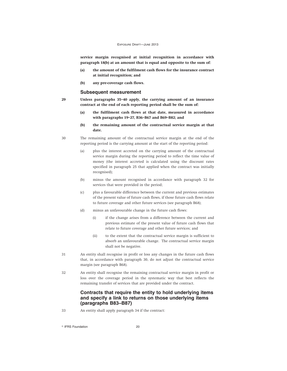**service margin recognised at initial recognition in accordance with paragraph 18(b) at an amount that is equal and opposite to the sum of:**

- **(a) the amount of the fulfilment cash flows for the insurance contract at initial recognition; and**
- **(b) any pre-coverage cash flows.**

#### **Subsequent measurement**

- **29 Unless paragraphs 35–40 apply, the carrying amount of an insurance contract at the end of each reporting period shall be the sum of:**
	- **(a) the fulfilment cash flows at that date, measured in accordance with paragraphs 19–27, B36–B67 and B69–B82; and**
	- **(b) the remaining amount of the contractual service margin at that date.**
- 30 The remaining amount of the contractual service margin at the end of the reporting period is the carrying amount at the start of the reporting period:
	- (a) plus the interest accreted on the carrying amount of the contractual service margin during the reporting period to reflect the time value of money (the interest accreted is calculated using the discount rates specified in paragraph 25 that applied when the contract was initially recognised);
	- (b) minus the amount recognised in accordance with paragraph 32 for services that were provided in the period;
	- (c) plus a favourable difference between the current and previous estimates of the present value of future cash flows, if those future cash flows relate to future coverage and other future services (see paragraph B68);
	- (d) minus an unfavourable change in the future cash flows:
		- (i) if the change arises from a difference between the current and previous estimate of the present value of future cash flows that relate to future coverage and other future services; and
		- (ii) to the extent that the contractual service margin is sufficient to absorb an unfavourable change. The contractual service margin shall not be negative.
- 31 An entity shall recognise in profit or loss any changes in the future cash flows that, in accordance with paragraph 30, do not adjust the contractual service margin (see paragraph B68).
- 32 An entity shall recognise the remaining contractual service margin in profit or loss over the coverage period in the systematic way that best reflects the remaining transfer of services that are provided under the contract.

# **Contracts that require the entity to hold underlying items and specify a link to returns on those underlying items (paragraphs B83–B87)**

33 An entity shall apply paragraph 34 if the contract: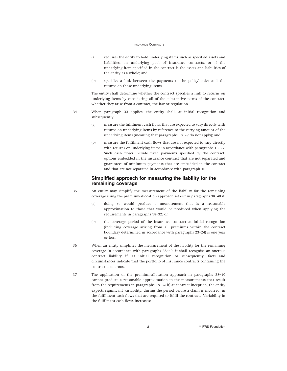- (a) requires the entity to hold underlying items such as specified assets and liabilities, an underlying pool of insurance contracts, or if the underlying item specified in the contract is the assets and liabilities of the entity as a whole; and
- (b) specifies a link between the payments to the policyholder and the returns on those underlying items.

The entity shall determine whether the contract specifies a link to returns on underlying items by considering all of the substantive terms of the contract, whether they arise from a contract, the law or regulation.

- 34 When paragraph 33 applies, the entity shall, at initial recognition and subsequently:
	- (a) measure the fulfilment cash flows that are expected to vary directly with returns on underlying items by reference to the carrying amount of the underlying items (meaning that paragraphs 18–27 do not apply); and
	- (b) measure the fulfilment cash flows that are not expected to vary directly with returns on underlying items in accordance with paragraphs 18–27. Such cash flows include fixed payments specified by the contract, options embedded in the insurance contract that are not separated and guarantees of minimum payments that are embedded in the contract and that are not separated in accordance with paragraph 10.

# **Simplified approach for measuring the liability for the remaining coverage**

- 35 An entity may simplify the measurement of the liability for the remaining coverage using the premium-allocation approach set out in paragraphs 38–40 if:
	- (a) doing so would produce a measurement that is a reasonable approximation to those that would be produced when applying the requirements in paragraphs 18–32; or
	- (b) the coverage period of the insurance contract at initial recognition (including coverage arising from all premiums within the contract boundary determined in accordance with paragraphs 23–24) is one year or less.
- 36 When an entity simplifies the measurement of the liability for the remaining coverage in accordance with paragraphs 38–40, it shall recognise an onerous contract liability if, at initial recognition or subsequently, facts and circumstances indicate that the portfolio of insurance contracts containing the contract is onerous.
- 37 The application of the premium-allocation approach in paragraphs 38–40 cannot produce a reasonable approximation to the measurements that result from the requirements in paragraphs 18–32 if, at contract inception, the entity expects significant variability, during the period before a claim is incurred, in the fulfilment cash flows that are required to fulfil the contract. Variability in the fulfilment cash flows increases:

21 **Constanting Construction Constanting Construction Construction**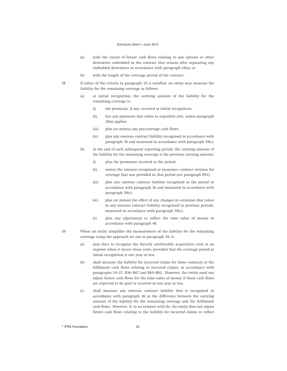- (a) with the extent of future cash flows relating to any options or other derivatives embedded in the contract that remain after separating any embedded derivatives in accordance with paragraph 10(a); or
- (b) with the length of the coverage period of the contract.
- 38 If either of the criteria in paragraph 35 is satisfied, an entity may measure the liability for the remaining coverage as follows:
	- (a) at initial recognition, the carrying amount of the liability for the remaining coverage is:
		- (i) the premium, if any, received at initial recognition;
		- (ii) less any payments that relate to *acquisition costs*, unless paragraph 39(a) applies;
		- (iii) plus (or minus) any pre-coverage cash flows;
		- (iv) plus any onerous contract liability recognised in accordance with paragraph 36 and measured in accordance with paragraph 39(c).
	- (b) at the end of each subsequent reporting period, the carrying amount of the liability for the remaining coverage is the previous carrying amount:
		- (i) plus the premiums received in the period;
		- (ii) minus the amount recognised as insurance contract revenue for coverage that was provided in that period (see paragraph B91);
		- (iii) plus any onerous contract liability recognised in the period in accordance with paragraph 36 and measured in accordance with paragraph 39(c);
		- (iv) plus (or minus) the effect of any changes in estimates that relate to any onerous contract liability recognised in previous periods, measured in accordance with paragraph 39(c);
		- (v) plus any adjustment to reflect the time value of money in accordance with paragraph 40.
- 39 When an entity simplifies the measurement of the liability for the remaining coverage using the approach set out in paragraph 38, it:
	- (a) may elect to recognise the directly attributable acquisition costs as an expense when it incurs those costs, provided that the coverage period at initial recognition is one year or less.
	- (b) shall measure the liability for incurred claims for those contracts at the fulfilment cash flows relating to incurred claims, in accordance with paragraphs 19–27, B36–B67 and B69–B82. However, the entity need not adjust future cash flows for the time value of money if those cash flows are expected to be paid or received in one year or less.
	- (c) shall measure any onerous contract liability that is recognised in accordance with paragraph 36 as the difference between the carrying amount of the liability for the remaining coverage and the fulfilment cash flows. However, if, in accordance with (b), the entity does not adjust future cash flows relating to the liability for incurred claims to reflect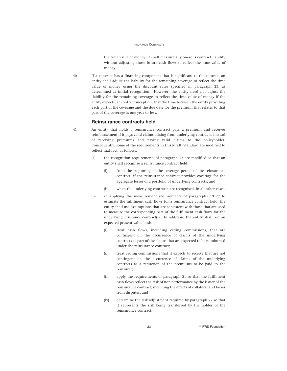the time value of money, it shall measure any onerous contract liability without adjusting those future cash flows to reflect the time value of money.

40 If a contract has a financing component that is significant to the contract an entity shall adjust the liability for the remaining coverage to reflect the time value of money using the discount rates specified in paragraph 25, as determined at initial recognition. However, the entity need not adjust the liability for the remaining coverage to reflect the time value of money if the entity expects, at contract inception, that the time between the entity providing each part of the coverage and the due date for the premium that relates to that part of the coverage is one year or less.

#### **Reinsurance contracts held**

- 41 An entity that holds a reinsurance contract pays a premium and receives reimbursement if it pays valid claims arising from underlying contracts, instead of receiving premiums and paying valid claims to the policyholder. Consequently, some of the requirements in this [draft] Standard are modified to reflect that fact, as follows:
	- (a) the recognition requirements of paragraph 12 are modified so that an entity shall recognise a reinsurance contract held:
		- (i) from the beginning of the coverage period of the reinsurance contract, if the reinsurance contract provides coverage for the aggregate losses of a portfolio of underlying contracts; and
		- (ii) when the underlying contracts are recognised, in all other cases.
	- (b) in applying the measurement requirements of paragraphs 19–27 to estimate the fulfilment cash flows for a reinsurance contract held, the entity shall use assumptions that are consistent with those that are used to measure the corresponding part of the fulfilment cash flows for the underlying insurance contract(s). In addition, the entity shall, on an expected present value basis:
		- (i) treat cash flows, including ceding commissions, that are contingent on the occurrence of claims of the underlying contracts as part of the claims that are expected to be reimbursed under the reinsurance contract;
		- (ii) treat ceding commissions that it expects to receive that are not contingent on the occurrence of claims of the underlying contracts as a reduction of the premiums to be paid to the reinsurer;
		- (iii) apply the requirements of paragraph 21 so that the fulfilment cash flows reflect the risk of non-performance by the issuer of the reinsurance contract, including the effects of collateral and losses from disputes; and
		- (iv) determine the risk adjustment required by paragraph 27 so that it represents the risk being transferred by the holder of the reinsurance contract.

23 **Participal Executive State of PERS Foundation**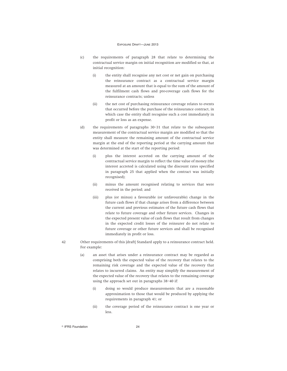- (c) the requirements of paragraph 28 that relate to determining the contractual service margin on initial recognition are modified so that, at initial recognition:
	- (i) the entity shall recognise any net cost or net gain on purchasing the reinsurance contract as a contractual service margin measured at an amount that is equal to the sum of the amount of the fulfilment cash flows and pre-coverage cash flows for the reinsurance contracts; unless
	- (ii) the net cost of purchasing reinsurance coverage relates to events that occurred before the purchase of the reinsurance contract, in which case the entity shall recognise such a cost immediately in profit or loss as an expense.
- (d) the requirements of paragraphs 30–31 that relate to the subsequent measurement of the contractual service margin are modified so that the entity shall measure the remaining amount of the contractual service margin at the end of the reporting period at the carrying amount that was determined at the start of the reporting period:
	- (i) plus the interest accreted on the carrying amount of the contractual service margin to reflect the time value of money (the interest accreted is calculated using the discount rates specified in paragraph 25 that applied when the contract was initially recognised);
	- (ii) minus the amount recognised relating to services that were received in the period; and
	- (iii) plus (or minus) a favourable (or unfavourable) change in the future cash flows if that change arises from a difference between the current and previous estimates of the future cash flows that relate to future coverage and other future services. Changes in the expected present value of cash flows that result from changes in the expected credit losses of the reinsurer do not relate to future coverage or other future services and shall be recognised immediately in profit or loss.
- 42 Other requirements of this [draft] Standard apply to a reinsurance contract held. For example:
	- (a) an asset that arises under a reinsurance contract may be regarded as comprising both the expected value of the recovery that relates to the remaining risk coverage and the expected value of the recovery that relates to incurred claims. An entity may simplify the measurement of the expected value of the recovery that relates to the remaining coverage using the approach set out in paragraphs 38–40 if:
		- (i) doing so would produce measurements that are a reasonable approximation to those that would be produced by applying the requirements in paragraph 41; or
		- (ii) the coverage period of the reinsurance contract is one year or less.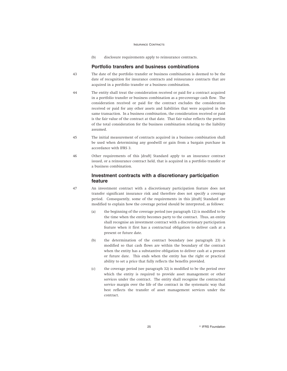(b) disclosure requirements apply to reinsurance contracts.

# **Portfolio transfers and business combinations**

- 43 The date of the portfolio transfer or business combination is deemed to be the date of recognition for insurance contracts and reinsurance contracts that are acquired in a portfolio transfer or a business combination.
- 44 The entity shall treat the consideration received or paid for a contract acquired in a portfolio transfer or business combination as a pre-coverage cash flow. The consideration received or paid for the contract excludes the consideration received or paid for any other assets and liabilities that were acquired in the same transaction. In a business combination, the consideration received or paid is the fair value of the contract at that date. That fair value reflects the portion of the total consideration for the business combination relating to the liability assumed.
- 45 The initial measurement of contracts acquired in a business combination shall be used when determining any goodwill or gain from a bargain purchase in accordance with IFRS 3.
- 46 Other requirements of this [draft] Standard apply to an insurance contract issued, or a reinsurance contract held, that is acquired in a portfolio transfer or a business combination.

# **Investment contracts with a discretionary participation feature**

- 47 An investment contract with a discretionary participation feature does not transfer significant insurance risk and therefore does not specify a coverage period. Consequently, some of the requirements in this [draft] Standard are modified to explain how the coverage period should be interpreted, as follows:
	- (a) the beginning of the coverage period (see paragraph 12) is modified to be the time when the entity becomes party to the contract. Thus, an entity shall recognise an investment contract with a discretionary participation feature when it first has a contractual obligation to deliver cash at a present or future date.
	- (b) the determination of the contract boundary (see paragraph 23) is modified so that cash flows are within the boundary of the contract when the entity has a substantive obligation to deliver cash at a present or future date. This ends when the entity has the right or practical ability to set a price that fully reflects the benefits provided.
	- (c) the coverage period (see paragraph 32) is modified to be the period over which the entity is required to provide asset management or other services under the contract. The entity shall recognise the contractual service margin over the life of the contract in the systematic way that best reflects the transfer of asset management services under the contract.

25 **Participal Executive State of PERS Foundation**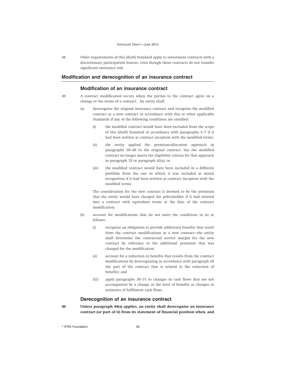48 Other requirements of this [draft] Standard apply to investment contracts with a discretionary participation feature, even though those contracts do not transfer significant insurance risk.

# **Modification and derecognition of an insurance contract**

# **Modification of an insurance contract**

- 49 A contract modification occurs when the parties to the contract agree on a change to the terms of a contract. An entity shall:
	- (a) derecognise the original insurance contract and recognise the modified contract as a new contract in accordance with this or other applicable Standards if any of the following conditions are satisfied:
		- (i) the modified contract would have been excluded from the scope of this [draft] Standard in accordance with paragraphs 3–7 if it had been written at contract inception with the modified terms;
		- (ii) the entity applied the premium-allocation approach in paragraphs 38–40 to the original contract, but the modified contract no longer meets the eligibility criteria for that approach in paragraph 35 or paragraph 42(a); or
		- (iii) the modified contract would have been included in a different portfolio from the one in which it was included at initial recognition if it had been written at contract inception with the modified terms.

The consideration for the new contract is deemed to be the premium that the entity would have charged the policyholder if it had entered into a contract with equivalent terms at the date of the contract modification.

- (b) account for modifications that do not meet the conditions in (a) as follows:
	- (i) recognise an obligation to provide additional benefits that result from the contract modifications as a new contract—the entity shall determine the contractual service margin for the new contract by reference to the additional premium that was charged for the modification;
	- (ii) account for a reduction in benefits that results from the contract modifications by derecognising in accordance with paragraph 50 the part of the contract that is related to the reduction of benefits; and
	- (iii) apply paragraphs 30–31 to changes in cash flows that are not accompanied by a change in the level of benefits as changes in estimates of fulfilment cash flows.

# **Derecognition of an insurance contract**

**50 Unless paragraph 49(a) applies, an entity shall derecognise an insurance contract (or part of it) from its statement of financial position when, and**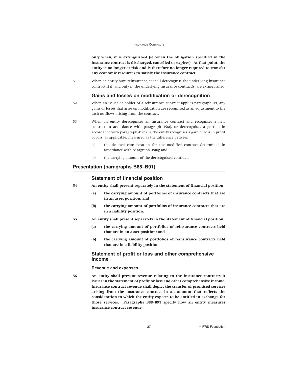**only when, it is extinguished (ie when the obligation specified in the insurance contract is discharged, cancelled or expires). At that point, the entity is no longer at risk and is therefore no longer required to transfer any economic resources to satisfy the insurance contract.**

51 When an entity buys reinsurance, it shall derecognise the underlying insurance contract(s) if, and only if, the underlying insurance contract(s) are extinguished.

# **Gains and losses on modification or derecognition**

- 52 When an issuer or holder of a reinsurance contract applies paragraph 49, any gains or losses that arise on modification are recognised as an adjustment to the cash outflows arising from the contract.
- 53 When an entity derecognises an insurance contract and recognises a new contract in accordance with paragraph 49(a), or derecognises a portion in accordance with paragraph 49(b)(ii), the entity recognises a gain or loss in profit or loss, as applicable, measured as the difference between:
	- (a) the deemed consideration for the modified contract determined in accordance with paragraph 49(a); and
	- (b) the carrying amount of the derecognised contract.

# **Presentation (paragraphs B88–B91)**

# **Statement of financial position**

- **54 An entity shall present separately in the statement of financial position:**
	- **(a) the carrying amount of portfolios of insurance contracts that are in an asset position; and**
	- **(b) the carrying amount of portfolios of insurance contracts that are in a liability position.**
- **55 An entity shall present separately in the statement of financial position:**
	- **(a) the carrying amount of portfolios of reinsurance contracts held that are in an asset position; and**
	- **(b) the carrying amount of portfolios of reinsurance contracts held that are in a liability position.**

# **Statement of profit or loss and other comprehensive income**

#### **Revenue and expenses**

**56 An entity shall present revenue relating to the insurance contracts it issues in the statement of profit or loss and other comprehensive income. Insurance contract revenue shall depict the transfer of promised services arising from the insurance contract in an amount that reflects the consideration to which the entity expects to be entitled in exchange for those services. Paragraphs B88–B91 specify how an entity measures insurance contract revenue.**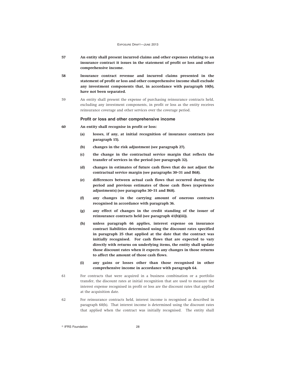- **57 An entity shall present incurred claims and other expenses relating to an insurance contract it issues in the statement of profit or loss and other comprehensive income.**
- **58 Insurance contract revenue and incurred claims presented in the statement of profit or loss and other comprehensive income shall exclude any investment components that, in accordance with paragraph 10(b), have not been separated.**
- 59 An entity shall present the expense of purchasing reinsurance contracts held, excluding any investment components, in profit or loss as the entity receives reinsurance coverage and other services over the coverage period.

#### **Profit or loss and other comprehensive income**

- **60 An entity shall recognise in profit or loss:**
	- **(a) losses, if any, at initial recognition of insurance contracts (see paragraph 15).**
	- **(b) changes in the risk adjustment (see paragraph 27).**
	- **(c) the change in the contractual service margin that reflects the transfer of services in the period (see paragraph 32).**
	- **(d) changes in estimates of future cash flows that do not adjust the contractual service margin (see paragraphs 30–31 and B68).**
	- **(e) differences between actual cash flows that occurred during the period and previous estimates of those cash flows (experience adjustments) (see paragraphs 30–31 and B68).**
	- **(f) any changes in the carrying amount of onerous contracts recognised in accordance with paragraph 36.**
	- **(g) any effect of changes in the credit standing of the issuer of reinsurance contracts held (see paragraph 41(b)(iii)).**
	- **(h) unless paragraph 66 applies, interest expense on insurance contract liabilities determined using the discount rates specified in paragraph 25 that applied at the date that the contract was initially recognised. For cash flows that are expected to vary directly with returns on underlying items, the entity shall update those discount rates when it expects any changes in those returns to affect the amount of those cash flows.**
	- **(i) any gains or losses other than those recognised in other comprehensive income in accordance with paragraph 64.**
- 61 For contracts that were acquired in a business combination or a portfolio transfer, the discount rates at initial recognition that are used to measure the interest expense recognised in profit or loss are the discount rates that applied at the acquisition date.
- 62 For reinsurance contracts held, interest income is recognised as described in paragraph 60(h). That interest income is determined using the discount rates that applied when the contract was initially recognised. The entity shall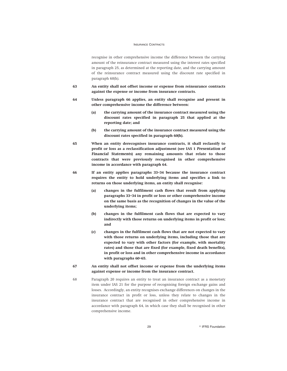recognise in other comprehensive income the difference between the carrying amount of the reinsurance contract measured using the interest rates specified in paragraph 25, as determined at the reporting date, and the carrying amount of the reinsurance contract measured using the discount rate specified in paragraph 60(h).

- **63 An entity shall not offset income or expense from reinsurance contracts against the expense or income from insurance contracts.**
- **64 Unless paragraph 66 applies, an entity shall recognise and present in other comprehensive income the difference between:**
	- **(a) the carrying amount of the insurance contract measured using the discount rates specified in paragraph 25 that applied at the reporting date; and**
	- **(b) the carrying amount of the insurance contract measured using the discount rates specified in paragraph 60(h).**
- **65 When an entity derecognises insurance contracts, it shall reclassify to profit or loss as a reclassification adjustment (see IAS 1** *Presentation of Financial Statements***) any remaining amounts that relate to those contracts that were previously recognised in other comprehensive income in accordance with paragraph 64.**
- **66 If an entity applies paragraphs 33–34 because the insurance contract requires the entity to hold underlying items and specifies a link to returns on those underlying items, an entity shall recognise:**
	- **(a) changes in the fulfilment cash flows that result from applying paragraphs 33–34 in profit or loss or other comprehensive income on the same basis as the recognition of changes in the value of the underlying items;**
	- **(b) changes in the fulfilment cash flows that are expected to vary indirectly with those returns on underlying items in profit or loss; and**
	- **(c) changes in the fulfilment cash flows that are not expected to vary with those returns on underlying items, including those that are expected to vary with other factors (for example, with mortality rates) and those that are fixed (for example, fixed death benefits), in profit or loss and in other comprehensive income in accordance with paragraphs 60–65.**
- **67 An entity shall not offset income or expense from the underlying items against expense or income from the insurance contract.**
- 68 Paragraph 20 requires an entity to treat an insurance contract as a monetary item under IAS 21 for the purpose of recognising foreign exchange gains and losses. Accordingly, an entity recognises exchange differences on changes in the insurance contract in profit or loss, unless they relate to changes in the insurance contract that are recognised in other comprehensive income in accordance with paragraph 64, in which case they shall be recognised in other comprehensive income.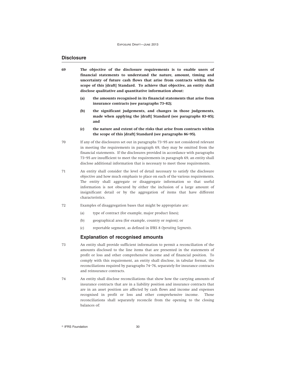# **Disclosure**

- **69 The objective of the disclosure requirements is to enable users of financial statements to understand the nature, amount, timing and uncertainty of future cash flows that arise from contracts within the scope of this [draft] Standard. To achieve that objective, an entity shall disclose qualitative and quantitative information about:**
	- **(a) the amounts recognised in its financial statements that arise from insurance contracts (see paragraphs 73–82);**
	- **(b) the significant judgements, and changes in those judgements, made when applying the [draft] Standard (see paragraphs 83–85); and**
	- **(c) the nature and extent of the risks that arise from contracts within the scope of this [draft] Standard (see paragraphs 86–95).**
- 70 If any of the disclosures set out in paragraphs 73–95 are not considered relevant in meeting the requirements in paragraph 69, they may be omitted from the financial statements. If the disclosures provided in accordance with paragraphs 73–95 are insufficient to meet the requirements in paragraph 69, an entity shall disclose additional information that is necessary to meet those requirements.
- 71 An entity shall consider the level of detail necessary to satisfy the disclosure objective and how much emphasis to place on each of the various requirements. The entity shall aggregate or disaggregate information so that useful information is not obscured by either the inclusion of a large amount of insignificant detail or by the aggregation of items that have different characteristics.
- 72 Examples of disaggregation bases that might be appropriate are:
	- (a) type of contract (for example, major product lines);
	- (b) geographical area (for example, country or region); or
	- (c) reportable segment, as defined in IFRS 8 *Operating Segments*.

# **Explanation of recognised amounts**

- 73 An entity shall provide sufficient information to permit a reconciliation of the amounts disclosed to the line items that are presented in the statements of profit or loss and other comprehensive income and of financial position. To comply with this requirement, an entity shall disclose, in tabular format, the reconciliations required by paragraphs 74–76, separately for insurance contracts and reinsurance contracts.
- 74 An entity shall disclose reconciliations that show how the carrying amounts of insurance contracts that are in a liability position and insurance contracts that are in an asset position are affected by cash flows and income and expenses recognised in profit or loss and other comprehensive income. Those reconciliations shall separately reconcile from the opening to the closing balances of: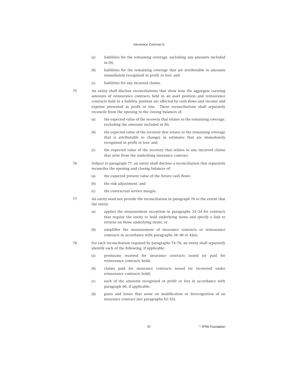- (a) liabilities for the remaining coverage, excluding any amounts included in (b);
- (b) liabilities for the remaining coverage that are attributable to amounts immediately recognised in profit or loss; and
- (c) liabilities for any incurred claims.
- 75 An entity shall disclose reconciliations that show how the aggregate carrying amounts of reinsurance contracts held in an asset position and reinsurance contracts held in a liability position are affected by cash flows and income and expense presented in profit or loss. Those reconciliations shall separately reconcile from the opening to the closing balances of:
	- (a) the expected value of the recovery that relates to the remaining coverage, excluding the amounts included in (b);
	- (b) the expected value of the recovery that relates to the remaining coverage that is attributable to changes in estimates that are immediately recognised in profit or loss; and
	- (c) the expected value of the recovery that relates to any incurred claims that arise from the underlying insurance contract.
- 76 Subject to paragraph 77, an entity shall disclose a reconciliation that separately reconciles the opening and closing balances of:
	- (a) the expected present value of the future cash flows;
	- (b) the risk adjustment; and
	- (c) the contractual service margin.
- 77 An entity need not provide the reconciliation in paragraph 76 to the extent that the entity:
	- (a) applies the measurement exception in paragraphs 33–34 for contracts that require the entity to hold underlying items and specify a link to returns on those underlying items; or
	- (b) simplifies the measurement of insurance contracts or reinsurance contracts in accordance with paragraphs 38–40 or 42(a).
- 78 For each reconciliation required by paragraphs 74–76, an entity shall separately identify each of the following, if applicable:
	- (a) premiums received for insurance contracts issued (or paid for reinsurance contracts held);
	- (b) claims paid for insurance contracts issued (or recovered under reinsurance contracts held);
	- (c) each of the amounts recognised in profit or loss in accordance with paragraph 60, if applicable;
	- (d) gains and losses that arose on modification or derecognition of an insurance contract (see paragraphs 52–53);

31 **CONTRES** Foundation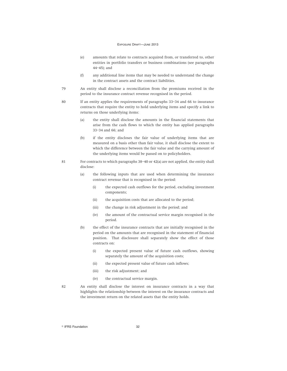- (e) amounts that relate to contracts acquired from, or transferred to, other entities in portfolio transfers or business combinations (see paragraphs 44–45); and
- (f) any additional line items that may be needed to understand the change in the contract assets and the contract liabilities.
- 79 An entity shall disclose a reconciliation from the premiums received in the period to the insurance contract revenue recognised in the period.
- 80 If an entity applies the requirements of paragraphs 33–34 and 66 to insurance contracts that require the entity to hold underlying items and specify a link to returns on those underlying items:
	- (a) the entity shall disclose the amounts in the financial statements that arise from the cash flows to which the entity has applied paragraphs 33–34 and 66; and
	- (b) if the entity discloses the fair value of underlying items that are measured on a basis other than fair value, it shall disclose the extent to which the difference between the fair value and the carrying amount of the underlying items would be passed on to policyholders.
- 81 For contracts to which paragraphs  $38-40$  or  $42(a)$  are not applied, the entity shall disclose:
	- (a) the following inputs that are used when determining the insurance contract revenue that is recognised in the period:
		- (i) the expected cash outflows for the period, excluding investment components;
		- (ii) the acquisition costs that are allocated to the period;
		- (iii) the change in risk adjustment in the period; and
		- (iv) the amount of the contractual service margin recognised in the period.
	- (b) the effect of the insurance contracts that are initially recognised in the period on the amounts that are recognised in the statement of financial position. That disclosure shall separately show the effect of those contracts on:
		- (i) the expected present value of future cash outflows, showing separately the amount of the acquisition costs;
		- (ii) the expected present value of future cash inflows;
		- (iii) the risk adjustment; and
		- (iv) the contractual service margin.
- 82 An entity shall disclose the interest on insurance contracts in a way that highlights the relationship between the interest on the insurance contracts and the investment return on the related assets that the entity holds.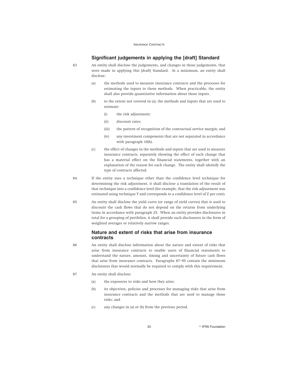# **Significant judgements in applying the [draft] Standard**

83 An entity shall disclose the judgements, and changes in those judgements, that were made in applying this [draft] Standard. At a minimum, an entity shall disclose:

- (a) the methods used to measure insurance contracts and the processes for estimating the inputs to those methods. When practicable, the entity shall also provide quantitative information about those inputs.
- (b) to the extent not covered in (a), the methods and inputs that are used to estimate:
	- (i) the risk adjustment;
	- (ii) discount rates;
	- (iii) the pattern of recognition of the contractual service margin; and
	- (iv) any investment components that are not separated in accordance with paragraph 10(b).
- (c) the effect of changes in the methods and inputs that are used to measure insurance contracts, separately showing the effect of each change that has a material effect on the financial statements, together with an explanation of the reason for each change. The entity shall identify the type of contracts affected.
- 84 If the entity uses a technique other than the confidence level technique for determining the risk adjustment, it shall disclose a translation of the result of that technique into a confidence level (for example, that the risk adjustment was estimated using technique Y and corresponds to a confidence level of Z per cent).
- 85 An entity shall disclose the yield curve (or range of yield curves) that is used to discount the cash flows that do not depend on the returns from underlying items in accordance with paragraph 25. When an entity provides disclosures in total for a grouping of portfolios, it shall provide such disclosures in the form of weighted averages or relatively narrow ranges.

# **Nature and extent of risks that arise from insurance contracts**

- 86 An entity shall disclose information about the nature and extent of risks that arise from insurance contracts to enable users of financial statements to understand the nature, amount, timing and uncertainty of future cash flows that arise from insurance contracts. Paragraphs 87–95 contain the minimum disclosures that would normally be required to comply with this requirement.
- 87 An entity shall disclose:
	- (a) the exposures to risks and how they arise;
	- (b) its objectives, policies and processes for managing risks that arise from insurance contracts and the methods that are used to manage those risks; and
	- (c) any changes in (a) or (b) from the previous period.

33 **Research Street Executive Contracts** Contracts Contracts Contracts Contracts Contracts Contracts Contracts Contracts Contracts Contracts Contracts Contracts Contracts Contracts Contracts Contracts Contracts Contracts C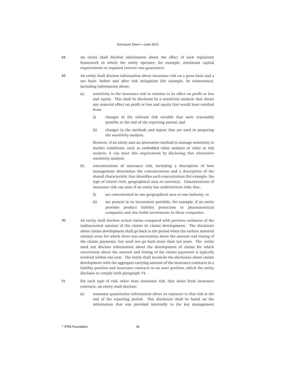- 88 An entity shall disclose information about the effect of each regulatory framework in which the entity operates; for example, minimum capital requirements or required interest rate guarantees.
- 89 An entity shall disclose information about insurance risk on a gross basis and a net basis, before and after risk mitigation (for example, by reinsurance), including information about:
	- (a) sensitivity to the insurance risk in relation to its effect on profit or loss and equity. This shall be disclosed by a sensitivity analysis that shows any material effect on profit or loss and equity that would have resulted from:
		- (i) changes in the relevant risk variable that were reasonably possible at the end of the reporting period; and
		- (ii) changes in the methods and inputs that are used in preparing the sensitivity analysis.

However, if an entity uses an alternative method to manage sensitivity to market conditions, such as embedded value analysis or value at risk analysis, it can meet this requirement by disclosing that alternative sensitivity analysis.

- (b) concentrations of insurance risk, including a description of how management determines the concentrations and a description of the shared characteristic that identifies each concentration (for example, the type of *insured event*, geographical area or currency). Concentrations of insurance risk can arise if an entity has underwritten risks that:
	- (i) are concentrated in one geographical area or one industry; or
	- (ii) are present in its investment portfolio, for example, if an entity provides product liability protection to pharmaceutical companies and also holds investments in those companies.
- 90 An entity shall disclose actual claims compared with previous estimates of the undiscounted amount of the claims (ie claims development). The disclosure about claims development shall go back to the period when the earliest material claim(s) arose for which there was uncertainty about the amount and timing of the claims payments, but need not go back more than ten years. The entity need not disclose information about the development of claims for which uncertainty about the amount and timing of the claims payments is typically resolved within one year. The entity shall reconcile the disclosure about claims development with the aggregate carrying amount of the insurance contracts in a liability position and insurance contracts in an asset position, which the entity discloses to comply with paragraph 74.
- 91 For each type of risk, other than insurance risk, that arises from insurance contracts, an entity shall disclose:
	- (a) summary quantitative information about its exposure to that risk at the end of the reporting period. This disclosure shall be based on the information that was provided internally to the key management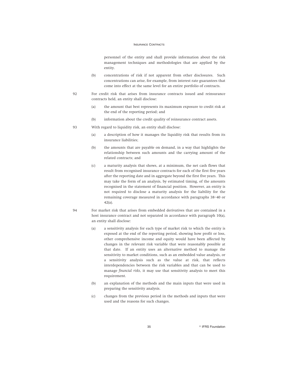personnel of the entity and shall provide information about the risk management techniques and methodologies that are applied by the entity.

- (b) concentrations of risk if not apparent from other disclosures. Such concentrations can arise, for example, from interest rate guarantees that come into effect at the same level for an entire portfolio of contracts.
- 92 For credit risk that arises from insurance contracts issued and reinsurance contracts held, an entity shall disclose:
	- (a) the amount that best represents its maximum exposure to credit risk at the end of the reporting period; and
	- (b) information about the credit quality of reinsurance contract assets.
- 93 With regard to liquidity risk, an entity shall disclose:
	- (a) a description of how it manages the liquidity risk that results from its insurance liabilities;
	- (b) the amounts that are payable on demand, in a way that highlights the relationship between such amounts and the carrying amount of the related contracts; and
	- (c) a maturity analysis that shows, at a minimum, the net cash flows that result from recognised insurance contracts for each of the first five years after the reporting date and in aggregate beyond the first five years. This may take the form of an analysis, by estimated timing, of the amounts recognised in the statement of financial position. However, an entity is not required to disclose a maturity analysis for the liability for the remaining coverage measured in accordance with paragraphs 38–40 or 42(a).
- 94 For market risk that arises from embedded derivatives that are contained in a host insurance contract and not separated in accordance with paragraph 10(a), an entity shall disclose:
	- (a) a sensitivity analysis for each type of market risk to which the entity is exposed at the end of the reporting period, showing how profit or loss, other comprehensive income and equity would have been affected by changes in the relevant risk variable that were reasonably possible at that date. If an entity uses an alternative method to manage the sensitivity to market conditions, such as an embedded value analysis, or a sensitivity analysis such as the value at risk, that reflects interdependencies between the risk variables and that can be used to manage *financial risks*, it may use that sensitivity analysis to meet this requirement.
	- (b) an explanation of the methods and the main inputs that were used in preparing the sensitivity analysis.
	- (c) changes from the previous period in the methods and inputs that were used and the reasons for such changes.

35 **B IFRS Foundation**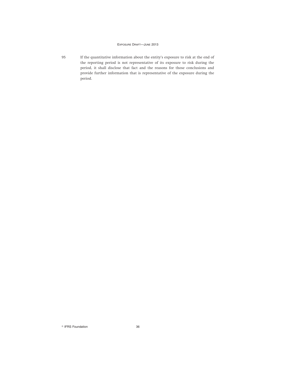95 If the quantitative information about the entity's exposure to risk at the end of the reporting period is not representative of its exposure to risk during the period, it shall disclose that fact and the reasons for those conclusions and provide further information that is representative of the exposure during the period.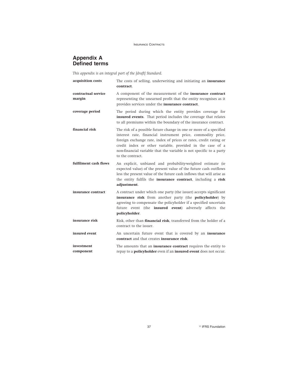# **Appendix A Defined terms**

*This appendix is an integral part of the [draft] Standard.*

| acquisition costs             | The costs of selling, underwriting and initiating an insurance<br>contract.                                                                                                                                                                                                                                                                                    |  |  |
|-------------------------------|----------------------------------------------------------------------------------------------------------------------------------------------------------------------------------------------------------------------------------------------------------------------------------------------------------------------------------------------------------------|--|--|
| contractual service<br>margin | A component of the measurement of the insurance contract<br>representing the unearned profit that the entity recognises as it<br>provides services under the <i>insurance</i> contract.                                                                                                                                                                        |  |  |
| coverage period               | The period during which the entity provides coverage for<br>insured events. That period includes the coverage that relates<br>to all premiums within the boundary of the insurance contract.                                                                                                                                                                   |  |  |
| financial risk                | The risk of a possible future change in one or more of a specified<br>interest rate, financial instrument price, commodity price,<br>foreign exchange rate, index of prices or rates, credit rating or<br>credit index or other variable, provided in the case of a<br>non-financial variable that the variable is not specific to a party<br>to the contract. |  |  |
| fulfilment cash flows         | An explicit, unbiased and probability-weighted estimate (ie<br>expected value) of the present value of the future cash outflows<br>less the present value of the future cash inflows that will arise as<br>the entity fulfils the <b>insurance contract</b> , including a <b>risk</b><br>adjustment.                                                           |  |  |
| insurance contract            | A contract under which one party (the issuer) accepts significant<br>insurance risk from another party (the policyholder) by<br>agreeing to compensate the policyholder if a specified uncertain<br>future event (the <i>insured</i> event) adversely affects the<br>policyholder.                                                                             |  |  |
| insurance risk                | Risk, other than <b>financial risk</b> , transferred from the holder of a<br>contract to the issuer.                                                                                                                                                                                                                                                           |  |  |
| insured event                 | An uncertain future event that is covered by an insurance<br>contract and that creates insurance risk.                                                                                                                                                                                                                                                         |  |  |
| investment<br>component       | The amounts that an <b>insurance contract</b> requires the entity to<br>repay to a <b>policyholder</b> even if an <i>insured</i> event does not occur.                                                                                                                                                                                                         |  |  |

37 **R IFRS Foundation**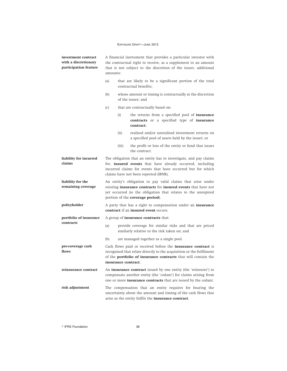| investment contract<br>with a discretionary<br>participation feature | A financial instrument that provides a particular investor with<br>the contractual right to receive, as a supplement to an amount<br>that is not subject to the discretion of the issuer, additional<br>amounts:                             |                                                                                   |                                                                                                                                                                                                              |  |
|----------------------------------------------------------------------|----------------------------------------------------------------------------------------------------------------------------------------------------------------------------------------------------------------------------------------------|-----------------------------------------------------------------------------------|--------------------------------------------------------------------------------------------------------------------------------------------------------------------------------------------------------------|--|
|                                                                      | (a)                                                                                                                                                                                                                                          | that are likely to be a significant portion of the total<br>contractual benefits: |                                                                                                                                                                                                              |  |
|                                                                      | whose amount or timing is contractually at the discretion<br>(b)<br>of the issuer; and                                                                                                                                                       |                                                                                   |                                                                                                                                                                                                              |  |
|                                                                      | (c)                                                                                                                                                                                                                                          | that are contractually based on:                                                  |                                                                                                                                                                                                              |  |
|                                                                      |                                                                                                                                                                                                                                              | (i)                                                                               | the returns from a specified pool of <b>insurance</b><br>contracts or a specified type of insurance<br>contract;                                                                                             |  |
|                                                                      |                                                                                                                                                                                                                                              | (ii)                                                                              | realised and/or unrealised investment returns on<br>a specified pool of assets held by the issuer; or                                                                                                        |  |
|                                                                      |                                                                                                                                                                                                                                              | (iii)                                                                             | the profit or loss of the entity or fund that issues<br>the contract.                                                                                                                                        |  |
| liability for incurred<br>claims                                     | The obligation that an entity has to investigate, and pay claims<br>for, <b>insured events</b> that have already occurred, including<br>incurred claims for events that have occurred but for which<br>claims have not been reported (IBNR). |                                                                                   |                                                                                                                                                                                                              |  |
| liability for the<br>remaining coverage                              | An entity's obligation to pay valid claims that arise under<br>existing insurance contracts for insured events that have not<br>yet occurred (ie the obligation that relates to the unexpired<br>portion of the <b>coverage period</b> ).    |                                                                                   |                                                                                                                                                                                                              |  |
| policyholder                                                         | A party that has a right to compensation under an <b>insurance</b><br><b>contract</b> if an <b>insured event</b> occurs.                                                                                                                     |                                                                                   |                                                                                                                                                                                                              |  |
| portfolio of insurance<br>contracts                                  | A group of <i>insurance</i> contracts that:                                                                                                                                                                                                  |                                                                                   |                                                                                                                                                                                                              |  |
|                                                                      | (a)                                                                                                                                                                                                                                          |                                                                                   | provide coverage for similar risks and that are priced<br>similarly relative to the risk taken on; and                                                                                                       |  |
|                                                                      | (b)                                                                                                                                                                                                                                          |                                                                                   | are managed together as a single pool.                                                                                                                                                                       |  |
| pre-coverage cash<br>flows                                           | Cash flows paid or received before the <b>insurance contract</b> is<br>recognised that relate directly to the acquisition or the fulfilment<br>of the <b>portfolio of insurance contracts</b> that will contain the<br>insurance contract.   |                                                                                   |                                                                                                                                                                                                              |  |
| reinsurance contract                                                 |                                                                                                                                                                                                                                              |                                                                                   | An insurance contract issued by one entity (the 'reinsurer') to<br>compensate another entity (the 'cedant') for claims arising from<br>one or more <i>insurance</i> contracts that are issued by the cedant. |  |
| risk adjustment                                                      |                                                                                                                                                                                                                                              |                                                                                   | The compensation that an entity requires for bearing the<br>uncertainty about the amount and timing of the cash flows that<br>arise as the entity fulfils the insurance contract.                            |  |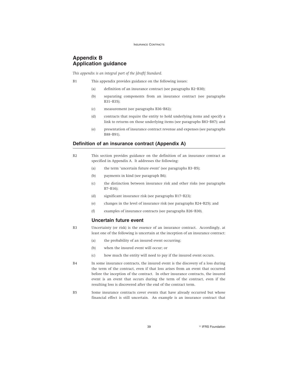# **Appendix B Application guidance**

*This appendix is an integral part of the [draft] Standard.*

- B1 This appendix provides guidance on the following issues:
	- (a) definition of an insurance contract (see paragraphs B2–B30);
	- (b) separating components from an insurance contract (see paragraphs B31–B35);
	- (c) measurement (see paragraphs B36–B82);
	- (d) contracts that require the entity to hold underlying items and specify a link to returns on those underlying items (see paragraphs B83–B87); and
	- (e) presentation of insurance contract revenue and expenses (see paragraphs B88–B91).

## **Definition of an insurance contract (Appendix A)**

- B2 This section provides guidance on the definition of an insurance contract as specified in Appendix A. It addresses the following:
	- (a) the term 'uncertain future event' (see paragraphs B3–B5);
	- (b) payments in kind (see paragraph B6);
	- (c) the distinction between insurance risk and other risks (see paragraphs B7–B16);
	- (d) significant insurance risk (see paragraphs B17–B23);
	- (e) changes in the level of insurance risk (see paragraphs B24–B25); and
	- (f) examples of insurance contracts (see paragraphs B26–B30).

## **Uncertain future event**

- B3 Uncertainty (or risk) is the essence of an insurance contract. Accordingly, at least one of the following is uncertain at the inception of an insurance contract:
	- (a) the probability of an insured event occurring;
	- (b) when the insured event will occur; or
	- (c) how much the entity will need to pay if the insured event occurs.
- B4 In some insurance contracts, the insured event is the discovery of a loss during the term of the contract, even if that loss arises from an event that occurred before the inception of the contract. In other insurance contracts, the insured event is an event that occurs during the term of the contract, even if the resulting loss is discovered after the end of the contract term.
- B5 Some insurance contracts cover events that have already occurred but whose financial effect is still uncertain. An example is an insurance contract that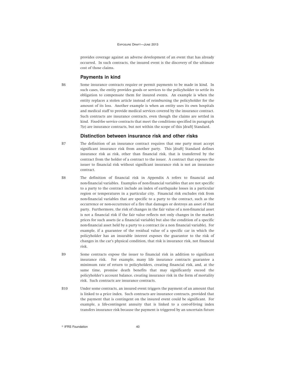provides coverage against an adverse development of an event that has already occurred. In such contracts, the insured event is the discovery of the ultimate cost of those claims.

### **Payments in kind**

B6 Some insurance contracts require or permit payments to be made in kind. In such cases, the entity provides goods or services to the policyholder to settle its obligation to compensate them for insured events. An example is when the entity replaces a stolen article instead of reimbursing the policyholder for the amount of its loss. Another example is when an entity uses its own hospitals and medical staff to provide medical services covered by the insurance contract. Such contracts are insurance contracts, even though the claims are settled in kind. Fixed-fee service contracts that meet the conditions specified in paragraph 7(e) are insurance contracts, but not within the scope of this [draft] Standard.

### **Distinction between insurance risk and other risks**

- B7 The definition of an insurance contract requires that one party must accept significant insurance risk from another party. This [draft] Standard defines insurance risk as risk, other than financial risk, that is transferred by the contract from the holder of a contract to the issuer. A contract that exposes the issuer to financial risk without significant insurance risk is not an insurance contract.
- B8 The definition of financial risk in Appendix A refers to financial and non-financial variables. Examples of non-financial variables that are not specific to a party to the contract include an index of earthquake losses in a particular region or temperatures in a particular city. Financial risk excludes risk from non-financial variables that are specific to a party to the contract, such as the occurrence or non-occurrence of a fire that damages or destroys an asset of that party. Furthermore, the risk of changes in the fair value of a non-financial asset is not a financial risk if the fair value reflects not only changes in the market prices for such assets (ie a financial variable) but also the condition of a specific non-financial asset held by a party to a contract (ie a non financial variable). For example, if a guarantee of the residual value of a specific car in which the policyholder has an insurable interest exposes the guarantor to the risk of changes in the car's physical condition, that risk is insurance risk, not financial risk.
- B9 Some contracts expose the issuer to financial risk in addition to significant insurance risk. For example, many life insurance contracts guarantee a minimum rate of return to policyholders, creating financial risk, and, at the same time, promise death benefits that may significantly exceed the policyholder's account balance, creating insurance risk in the form of mortality risk. Such contracts are insurance contracts.
- B10 Under some contracts, an insured event triggers the payment of an amount that is linked to a price index. Such contracts are insurance contracts, provided that the payment that is contingent on the insured event could be significant. For example, a life-contingent annuity that is linked to a cost-of-living index transfers insurance risk because the payment is triggered by an uncertain future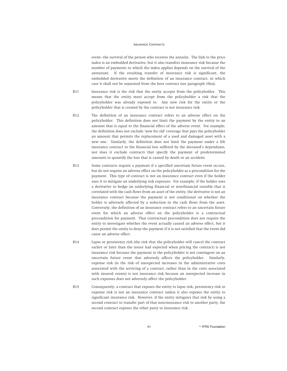event—the survival of the person who receives the annuity. The link to the price index is an embedded derivative, but it also transfers insurance risk because the number of payments to which the index applies depends on the survival of the annuitant. If the resulting transfer of insurance risk is significant, the embedded derivative meets the definition of an insurance contract, in which case it shall not be separated from the host contract (see paragraph 10(a)).

- B11 Insurance risk is the risk that the entity accepts from the policyholder. This means that the entity must accept from the policyholder a risk that the policyholder was already exposed to. Any new risk for the entity or the policyholder that is created by the contract is not insurance risk.
- B12 The definition of an insurance contract refers to an adverse effect on the policyholder. This definition does not limit the payment by the entity to an amount that is equal to the financial effect of the adverse event. For example, the definition does not exclude 'new for old' coverage that pays the policyholder an amount that permits the replacement of a used and damaged asset with a new one. Similarly, the definition does not limit the payment under a life insurance contract to the financial loss suffered by the deceased's dependants, nor does it exclude contracts that specify the payment of predetermined amounts to quantify the loss that is caused by death or an accident.
- B13 Some contracts require a payment if a specified uncertain future event occurs, but do not require an adverse effect on the policyholder as a precondition for the payment. This type of contract is not an insurance contract even if the holder uses it to mitigate an underlying risk exposure. For example, if the holder uses a derivative to hedge an underlying financial or non-financial variable that is correlated with the cash flows from an asset of the entity, the derivative is not an insurance contract because the payment is not conditional on whether the holder is adversely affected by a reduction in the cash flows from the asset. Conversely, the definition of an insurance contract refers to an uncertain future event for which an adverse effect on the policyholder is a contractual precondition for payment. That contractual precondition does not require the entity to investigate whether the event actually caused an adverse effect, but it does permit the entity to deny the payment if it is not satisfied that the event did cause an adverse effect.
- B14 Lapse or persistency risk (the risk that the policyholder will cancel the contract earlier or later than the issuer had expected when pricing the contract) is not insurance risk because the payment to the policyholder is not contingent on an uncertain future event that adversely affects the policyholder. Similarly, expense risk (ie the risk of unexpected increases in the administrative costs associated with the servicing of a contract, rather than in the costs associated with insured events) is not insurance risk because an unexpected increase in such expenses does not adversely affect the policyholder.
- B15 Consequently, a contract that exposes the entity to lapse risk, persistency risk or expense risk is not an insurance contract unless it also exposes the entity to significant insurance risk. However, if the entity mitigates that risk by using a second contract to transfer part of that non-insurance risk to another party, the second contract exposes the other party to insurance risk.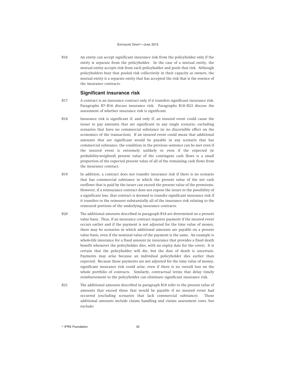B16 An entity can accept significant insurance risk from the policyholder only if the entity is separate from the policyholder. In the case of a mutual entity, the mutual entity accepts risk from each policyholder and pools that risk. Although policyholders bear that pooled risk collectively in their capacity as owners, the mutual entity is a separate entity that has accepted the risk that is the essence of the insurance contracts.

## **Significant insurance risk**

- B17 A contract is an insurance contract only if it transfers significant insurance risk. Paragraphs B7–B16 discuss insurance risk. Paragraphs B18–B23 discuss the assessment of whether insurance risk is significant.
- B18 Insurance risk is significant if, and only if, an insured event could cause the issuer to pay amounts that are significant in any single scenario, excluding scenarios that have no commercial substance (ie no discernible effect on the economics of the transaction). If an insured event could mean that additional amounts that are significant would be payable in any scenario that has commercial substance, the condition in the previous sentence can be met even if the insured event is extremely unlikely or even if the expected (ie probability-weighted) present value of the contingent cash flows is a small proportion of the expected present value of all of the remaining cash flows from the insurance contract.
- B19 In addition, a contract does not transfer insurance risk if there is no scenario that has commercial substance in which the present value of the net cash outflows that is paid by the issuer can exceed the present value of the premiums. However, if a reinsurance contract does not expose the issuer to the possibility of a significant loss, that contract is deemed to transfer significant insurance risk if it transfers to the reinsurer substantially all of the insurance risk relating to the reinsured portions of the underlying insurance contracts.
- B20 The additional amounts described in paragraph B18 are determined on a present value basis. Thus, if an insurance contract requires payment if the insured event occurs earlier and if the payment is not adjusted for the time value of money, there may be scenarios in which additional amounts are payable on a present value basis, even if the nominal value of the payment is the same. An example is whole-life insurance for a fixed amount (ie insurance that provides a fixed death benefit whenever the policyholder dies, with no expiry date for the cover). It is certain that the policyholder will die, but the date of death is uncertain. Payments may arise because an individual policyholder dies earlier than expected. Because those payments are not adjusted for the time value of money, significant insurance risk could arise, even if there is no overall loss on the whole portfolio of contracts. Similarly, contractual terms that delay timely reimbursement to the policyholder can eliminate significant insurance risk.
- B21 The additional amounts described in paragraph B18 refer to the present value of amounts that exceed those that would be payable if no insured event had occurred (excluding scenarios that lack commercial substance). Those additional amounts include claims handling and claims assessment costs, but exclude:

© IFRS Foundation 42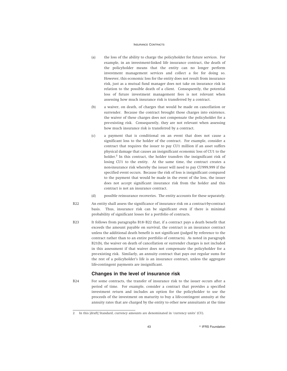- (a) the loss of the ability to charge the policyholder for future services. For example, in an investment-linked life insurance contract, the death of the policyholder means that the entity can no longer perform investment management services and collect a fee for doing so. However, this economic loss for the entity does not result from insurance risk, just as a mutual fund manager does not take on insurance risk in relation to the possible death of a client. Consequently, the potential loss of future investment management fees is not relevant when assessing how much insurance risk is transferred by a contract.
- (b) a waiver, on death, of charges that would be made on cancellation or surrender. Because the contract brought those charges into existence, the waiver of these charges does not compensate the policyholder for a pre-existing risk. Consequently, they are not relevant when assessing how much insurance risk is transferred by a contract.
- (c) a payment that is conditional on an event that does not cause a significant loss to the holder of the contract. For example, consider a contract that requires the issuer to pay CU1 million if an asset suffers physical damage that causes an insignificant economic loss of CU1 to the holder.<sup>2</sup> In this contract, the holder transfers the insignificant risk of losing CU1 to the entity. At the same time, the contract creates a non-insurance risk whereby the issuer will need to pay CU999,999 if the specified event occurs. Because the risk of loss is insignificant compared to the payment that would be made in the event of the loss, the issuer does not accept significant insurance risk from the holder and this contract is not an insurance contract.
- (d) possible reinsurance recoveries. The entity accounts for these separately.
- B22 An entity shall assess the significance of insurance risk on a contract-by-contract basis. Thus, insurance risk can be significant even if there is minimal probability of significant losses for a portfolio of contracts.
- B23 It follows from paragraphs B18–B22 that, if a contract pays a death benefit that exceeds the amount payable on survival, the contract is an insurance contract unless the additional death benefit is not significant (judged by reference to the contract rather than to an entire portfolio of contracts). As noted in paragraph B21(b), the waiver on death of cancellation or surrender charges is not included in this assessment if that waiver does not compensate the policyholder for a pre-existing risk. Similarly, an annuity contract that pays out regular sums for the rest of a policyholder's life is an insurance contract, unless the aggregate life-contingent payments are insignificant.

### **Changes in the level of insurance risk**

B24 For some contracts, the transfer of insurance risk to the issuer occurs after a period of time. For example, consider a contract that provides a specified investment return and includes an option for the policyholder to use the proceeds of the investment on maturity to buy a life-contingent annuity at the annuity rates that are charged by the entity to other new annuitants at the time

<sup>2</sup> In this [draft] Standard, currency amounts are denominated in 'currency units' (CU).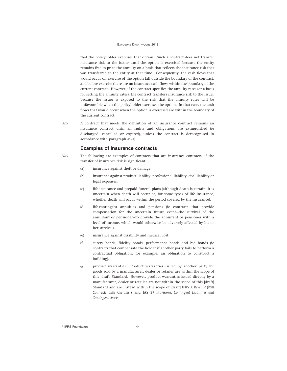that the policyholder exercises that option. Such a contract does not transfer insurance risk to the issuer until the option is exercised because the entity remains free to price the annuity on a basis that reflects the insurance risk that was transferred to the entity at that time. Consequently, the cash flows that would occur on exercise of the option fall outside the boundary of the contract, and before exercise there are no insurance cash flows within the boundary of the current contract. However, if the contract specifies the annuity rates (or a basis for setting the annuity rates), the contract transfers insurance risk to the issuer because the issuer is exposed to the risk that the annuity rates will be unfavourable when the policyholder exercises the option. In that case, the cash flows that would occur when the option is exercised are within the boundary of the current contract.

B25 A contract that meets the definition of an insurance contract remains an insurance contract until all rights and obligations are extinguished (ie discharged, cancelled or expired), unless the contract is derecognised in accordance with paragraph 49(a).

### **Examples of insurance contracts**

- B26 The following are examples of contracts that are insurance contracts, if the transfer of insurance risk is significant:
	- (a) insurance against theft or damage.
	- (b) insurance against product liability, professional liability, civil liability or legal expenses.
	- (c) life insurance and prepaid funeral plans (although death is certain, it is uncertain when death will occur or, for some types of life insurance, whether death will occur within the period covered by the insurance).
	- (d) life-contingent annuities and pensions (ie contracts that provide compensation for the uncertain future event—the survival of the annuitant or pensioner—to provide the annuitant or pensioner with a level of income, which would otherwise be adversely affected by his or her survival).
	- (e) insurance against disability and medical cost.
	- (f) surety bonds, fidelity bonds, performance bonds and bid bonds (ie contracts that compensate the holder if another party fails to perform a contractual obligation, for example, an obligation to construct a building).
	- (g) product warranties. Product warranties issued by another party for goods sold by a manufacturer, dealer or retailer are within the scope of this [draft] Standard. However, product warranties issued directly by a manufacturer, dealer or retailer are not within the scope of this [draft] Standard and are instead within the scope of [draft] IFRS X *Revenue from Contracts with Customers* and IAS 37 *Provisions, Contingent Liabilities and Contingent Assets*.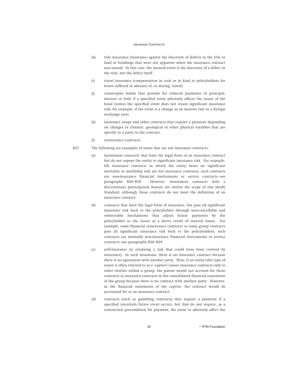- (h) title insurance (insurance against the discovery of defects in the title to land or buildings that were not apparent when the insurance contract was issued). In this case, the insured event is the discovery of a defect in the title, not the defect itself.
- (i) travel insurance (compensation in cash or in kind to policyholders for losses suffered in advance of, or during, travel).
- (j) catastrophe bonds that provide for reduced payments of principal, interest or both if a specified event adversely affects the issuer of the bond (unless the specified event does not create significant insurance risk, for example, if the event is a change in an interest rate or a foreign exchange rate).
- (k) insurance swaps and other contracts that require a payment depending on changes in climatic, geological or other physical variables that are specific to a party to the contract.
- (l) reinsurance contracts.
- B27 The following are examples of items that are not insurance contracts:
	- (a) investment contracts that have the legal form of an insurance contract but do not expose the entity to significant insurance risk. For example, life insurance contracts in which the entity bears no significant mortality or morbidity risk are not insurance contracts; such contracts are non-insurance financial instruments or service contracts—see paragraphs B28–B29. However, investment contracts with a discretionary participation feature are within the scope of this [draft] Standard, although those contracts do not meet the definition of an insurance contract.
	- (b) contracts that have the legal form of insurance, but pass all significant insurance risk back to the policyholder through non-cancellable and enforceable mechanisms that adjust future payments by the policyholder to the issuer as a direct result of insured losses. For example, some financial reinsurance contracts or some group contracts pass all significant insurance risk back to the policyholders; such contracts are normally non-insurance financial instruments or service contracts—see paragraphs B28–B29.
	- (c) self-insurance (ie retaining a risk that could have been covered by insurance). In such situations, there is no insurance contract because there is no agreement with another party. Thus, if an entity (this type of issuer is often referred to as a 'captive') issues insurance contracts only to other entities within a group, the parent would not account for those contracts as insurance contracts in the consolidated financial statements of the group because there is no contract with another party. However, in the financial statements of the captive, the contract would be accounted for as an insurance contract.
	- (d) contracts (such as gambling contracts) that require a payment if a specified uncertain future event occurs, but that do not require, as a contractual precondition for payment, the event to adversely affect the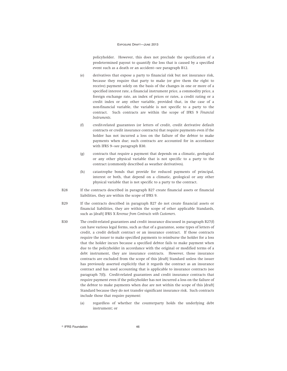policyholder. However, this does not preclude the specification of a predetermined payout to quantify the loss that is caused by a specified event such as a death or an accident—see paragraph B12.

- (e) derivatives that expose a party to financial risk but not insurance risk, because they require that party to make (or give them the right to receive) payment solely on the basis of the changes in one or more of a specified interest rate, a financial instrument price, a commodity price, a foreign exchange rate, an index of prices or rates, a credit rating or a credit index or any other variable, provided that, in the case of a non-financial variable, the variable is not specific to a party to the contract. Such contracts are within the scope of IFRS 9 *Financial Instruments*.
- (f) credit-related guarantees (or letters of credit, credit derivative default contracts or credit insurance contracts) that require payments even if the holder has not incurred a loss on the failure of the debtor to make payments when due; such contracts are accounted for in accordance with IFRS 9—see paragraph B30.
- (g) contracts that require a payment that depends on a climatic, geological or any other physical variable that is not specific to a party to the contract (commonly described as weather derivatives).
- (h) catastrophe bonds that provide for reduced payments of principal, interest or both, that depend on a climatic, geological or any other physical variable that is not specific to a party to the contract.
- B28 If the contracts described in paragraph B27 create financial assets or financial liabilities, they are within the scope of IFRS 9.
- B29 If the contracts described in paragraph B27 do not create financial assets or financial liabilities, they are within the scope of other applicable Standards, such as [draft] IFRS X *Revenue from Contracts with Customers*.
- B30 The credit-related guarantees and credit insurance discussed in paragraph B27(f) can have various legal forms, such as that of a guarantee, some types of letters of credit, a credit default contract or an insurance contract. If those contracts require the issuer to make specified payments to reimburse the holder for a loss that the holder incurs because a specified debtor fails to make payment when due to the policyholder in accordance with the original or modified terms of a debt instrument, they are insurance contracts. However, those insurance contracts are excluded from the scope of this [draft] Standard unless the issuer has previously asserted explicitly that it regards the contract as an insurance contract and has used accounting that is applicable to insurance contracts (see paragraph 7(f)). Credit-related guarantees and credit insurance contracts that require payment even if the policyholder has not incurred a loss on the failure of the debtor to make payments when due are not within the scope of this [draft] Standard because they do not transfer significant insurance risk. Such contracts include those that require payment:
	- (a) regardless of whether the counterparty holds the underlying debt instrument; or

© IFRS Foundation 46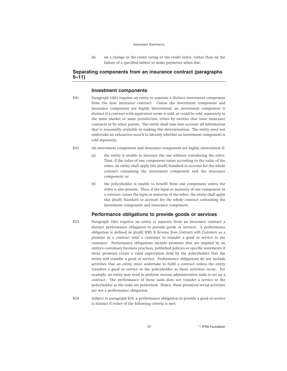(b) on a change in the credit rating or the credit index, rather than on the failure of a specified debtor to make payments when due.

## **Separating components from an insurance contract (paragraphs 9–11)**

## **Investment components**

- B31 Paragraph 10(b) requires an entity to separate a distinct investment component from the host insurance contract. Unless the investment component and insurance component are highly interrelated, an investment component is distinct if a contract with equivalent terms is sold, or could be sold, separately in the same market or same jurisdiction, either by entities that issue insurance contracts or by other parties. The entity shall take into account all information that is reasonably available in making this determination. The entity need not undertake an exhaustive search to identify whether an investment component is sold separately.
- B32 An investment component and insurance component are highly interrelated if:
	- (a) the entity is unable to measure the one without considering the other. Thus, if the value of one component varies according to the value of the other, an entity shall apply this [draft] Standard to account for the whole contract containing the investment component and the insurance component; or
	- (b) the policyholder is unable to benefit from one component unless the other is also present. Thus, if the lapse or maturity of one component in a contract causes the lapse or maturity of the other, the entity shall apply this [draft] Standard to account for the whole contract containing the investment component and insurance component.

### **Performance obligations to provide goods or services**

- B33 Paragraph 10(c) requires an entity to separate from an insurance contract a distinct performance obligation to provide goods or services. A performance obligation is defined in [draft] IFRS X *Revenue from Contracts with Customers* as a promise in a contract with a customer to transfer a good or service to the customer. Performance obligations include promises that are implied by an entity's customary business practices, published policies or specific statements if those promises create a valid expectation held by the policyholder that the entity will transfer a good or service. Performance obligations do not include activities that an entity must undertake to fulfil a contract unless the entity transfers a good or service to the policyholder as those activities occur. For example, an entity may need to perform various administrative tasks to set up a contract. The performance of those tasks does not transfer a service to the policyholder as the tasks are performed. Hence, those promised set-up activities are not a performance obligation.
- B34 Subject to paragraph B35, a performance obligation to provide a good or service is distinct if either of the following criteria is met:

47 **CONSERVIST SERVIS ENTIRE SERVIS SERVIS SERVIS ENTRA AND ALCOHOL**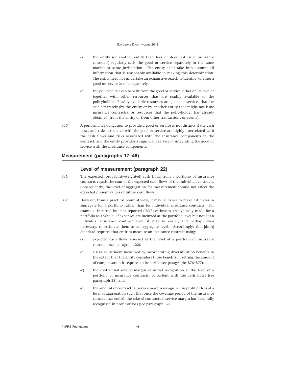- (a) the entity (or another entity that does or does not issue insurance contracts) regularly sells the good or service separately in the same market or same jurisdiction. The entity shall take into account all information that is reasonably available in making this determination. The entity need not undertake an exhaustive search to identify whether a good or service is sold separately.
- (b) the policyholder can benefit from the good or service either on its own or together with other resources that are readily available to the policyholder. Readily available resources are goods or services that are sold separately (by the entity or by another entity that might not issue insurance contracts), or resources that the policyholder has already obtained (from the entity or from other transactions or events).
- B35 A performance obligation to provide a good or service is not distinct if the cash flows and risks associated with the good or service are highly interrelated with the cash flows and risks associated with the insurance components in the contract, and the entity provides a significant service of integrating the good or service with the insurance components.

### **Measurement (paragraphs 17–48)**

### **Level of measurement (paragraph 22)**

- B36 The expected (probability-weighted) cash flows from a portfolio of insurance contracts equals the sum of the expected cash flows of the individual contracts. Consequently, the level of aggregation for measurement should not affect the expected present values of future cash flows.
- B37 However, from a practical point of view, it may be easier to make estimates in aggregate for a portfolio rather than for individual insurance contracts. For example, incurred but not reported (IBNR) estimates are typically made for a portfolio as a whole. If expenses are incurred at the portfolio level but not at an individual insurance contract level, it may be easier, and perhaps even necessary, to estimate them at an aggregate level. Accordingly, this [draft] Standard requires that entities measure an insurance contract using:
	- (a) expected cash flows assessed at the level of a portfolio of insurance contracts (see paragraph 22);
	- (b) a risk adjustment measured by incorporating diversification benefits to the extent that the entity considers those benefits in setting the amount of compensation it requires to bear risk (see paragraphs B76–B77);
	- (c) the contractual service margin at initial recognition at the level of a portfolio of insurance contracts, consistent with the cash flows (see paragraph 28); and
	- (d) the amount of contractual service margin recognised in profit or loss at a level of aggregation such that once the coverage period of the insurance contract has ended, the related contractual service margin has been fully recognised in profit or loss (see paragraph 32).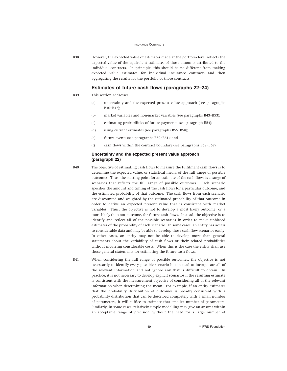B38 However, the expected value of estimates made at the portfolio level reflects the expected value of the equivalent estimates of those amounts attributed to the individual contracts. In principle, this should be no different from making expected value estimates for individual insurance contracts and then aggregating the results for the portfolio of those contracts.

### **Estimates of future cash flows (paragraphs 22–24)**

### B39 This section addresses:

- (a) uncertainty and the expected present value approach (see paragraphs B40–B42);
- (b) market variables and non-market variables (see paragraphs B43–B53);
- (c) estimating probabilities of future payments (see paragraph B54);
- (d) using current estimates (see paragraphs B55–B58);
- (e) future events (see paragraphs B59–B61); and
- (f) cash flows within the contract boundary (see paragraphs B62–B67).

## **Uncertainty and the expected present value approach (paragraph 22)**

B40 The objective of estimating cash flows to measure the fulfilment cash flows is to determine the expected value, or statistical mean, of the full range of possible outcomes. Thus, the starting point for an estimate of the cash flows is a range of scenarios that reflects the full range of possible outcomes. Each scenario specifies the amount and timing of the cash flows for a particular outcome, and the estimated probability of that outcome. The cash flows from each scenario are discounted and weighted by the estimated probability of that outcome in order to derive an expected present value that is consistent with market variables. Thus, the objective is not to develop a most likely outcome, or a more-likely-than-not outcome, for future cash flows. Instead, the objective is to identify and reflect all of the possible scenarios in order to make unbiased estimates of the probability of each scenario. In some cases, an entity has access to considerable data and may be able to develop those cash flow scenarios easily. In other cases, an entity may not be able to develop more than general statements about the variability of cash flows or their related probabilities without incurring considerable costs. When this is the case the entity shall use those general statements for estimating the future cash flows.

B41 When considering the full range of possible outcomes, the objective is not necessarily to identify every possible scenario but instead to incorporate all of the relevant information and not ignore any that is difficult to obtain. In practice, it is not necessary to develop explicit scenarios if the resulting estimate is consistent with the measurement objective of considering all of the relevant information when determining the mean. For example, if an entity estimates that the probability distribution of outcomes is broadly consistent with a probability distribution that can be described completely with a small number of parameters, it will suffice to estimate that smaller number of parameters. Similarly, in some cases, relatively simple modelling may give an answer within an acceptable range of precision, without the need for a large number of

49 **PIFRS Foundation**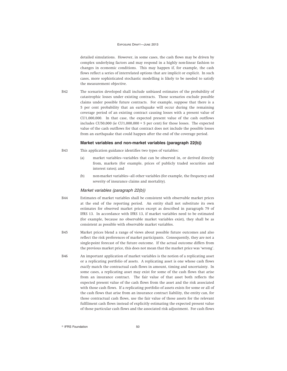detailed simulations. However, in some cases, the cash flows may be driven by complex underlying factors and may respond in a highly non-linear fashion to changes in economic conditions. This may happen if, for example, the cash flows reflect a series of interrelated options that are implicit or explicit. In such cases, more sophisticated stochastic modelling is likely to be needed to satisfy the measurement objective.

B42 The scenarios developed shall include unbiased estimates of the probability of catastrophic losses under existing contracts. Those scenarios exclude possible claims under possible future contracts. For example, suppose that there is a 5 per cent probability that an earthquake will occur during the remaining coverage period of an existing contract causing losses with a present value of CU1,000,000. In that case, the expected present value of the cash outflows includes CU50,000 (ie CU1,000,000  $\times$  5 per cent) for those losses. The expected value of the cash outflows for that contract does not include the possible losses from an earthquake that could happen after the end of the coverage period.

### **Market variables and non-market variables (paragraph 22(b))**

- B43 This application guidance identifies two types of variables:
	- (a) market variables—variables that can be observed in, or derived directly from, markets (for example, prices of publicly traded securities and interest rates); and
	- (b) non-market variables—all other variables (for example, the frequency and severity of insurance claims and mortality).

### Market variables (paragraph 22(b))

- B44 Estimates of market variables shall be consistent with observable market prices at the end of the reporting period. An entity shall not substitute its own estimates for observed market prices except as described in paragraph 79 of IFRS 13. In accordance with IFRS 13, if market variables need to be estimated (for example, because no observable market variables exist), they shall be as consistent as possible with observable market variables.
- B45 Market prices blend a range of views about possible future outcomes and also reflect the risk preferences of market participants. Consequently, they are not a single-point forecast of the future outcome. If the actual outcome differs from the previous market price, this does not mean that the market price was 'wrong'.
- B46 An important application of market variables is the notion of a replicating asset or a replicating portfolio of assets. A replicating asset is one whose cash flows *exactly* match the contractual cash flows in amount, timing and uncertainty. In some cases, a replicating asset may exist for some of the cash flows that arise from an insurance contract. The fair value of that asset both reflects the expected present value of the cash flows from the asset and the risk associated with those cash flows. If a replicating portfolio of assets exists for some or all of the cash flows that arise from an insurance contract liability, the entity can, for those contractual cash flows, use the fair value of those assets for the relevant fulfilment cash flows instead of explicitly estimating the expected present value of those particular cash flows and the associated risk adjustment. For cash flows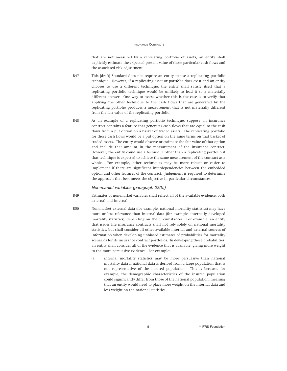that are not measured by a replicating portfolio of assets, an entity shall explicitly estimate the expected present value of those particular cash flows and the associated risk adjustment.

- B47 This [draft] Standard does not require an entity to use a replicating portfolio technique. However, if a replicating asset or portfolio does exist and an entity chooses to use a different technique, the entity shall satisfy itself that a replicating portfolio technique would be unlikely to lead it to a materially different answer. One way to assess whether this is the case is to verify that applying the other technique to the cash flows that are generated by the replicating portfolio produces a measurement that is not materially different from the fair value of the replicating portfolio.
- B48 As an example of a replicating portfolio technique, suppose an insurance contract contains a feature that generates cash flows that are equal to the cash flows from a put option on a basket of traded assets. The replicating portfolio for those cash flows would be a put option on the same terms on that basket of traded assets. The entity would observe or estimate the fair value of that option and include that amount in the measurement of the insurance contract. However, the entity could use a technique other than a replicating portfolio if that technique is expected to achieve the same measurement of the contract as a whole. For example, other techniques may be more robust or easier to implement if there are significant interdependencies between the embedded option and other features of the contract. Judgement is required to determine the approach that best meets the objective in particular circumstances.

### Non-market variables (paragraph 22(b))

- B49 Estimates of non-market variables shall reflect all of the available evidence, both external and internal.
- B50 Non-market external data (for example, national mortality statistics) may have more or less relevance than internal data (for example, internally developed mortality statistics), depending on the circumstances. For example, an entity that issues life insurance contracts shall not rely solely on national mortality statistics, but shall consider all other available internal and external sources of information when developing unbiased estimates of probabilities for mortality scenarios for its insurance contract portfolios. In developing those probabilities, an entity shall consider all of the evidence that is available, giving more weight to the more persuasive evidence. For example:
	- (a) internal mortality statistics may be more persuasive than national mortality data if national data is derived from a large population that is not representative of the insured population. This is because, for example, the demographic characteristics of the insured population could significantly differ from those of the national population, meaning that an entity would need to place more weight on the internal data and less weight on the national statistics.

51 **Constanting Construction Constanting Construction Construction**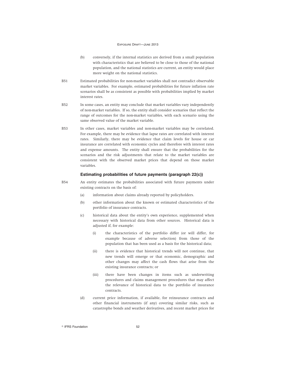- (b) conversely, if the internal statistics are derived from a small population with characteristics that are believed to be close to those of the national population, and the national statistics are current, an entity would place more weight on the national statistics.
- B51 Estimated probabilities for non-market variables shall not contradict observable market variables. For example, estimated probabilities for future inflation rate scenarios shall be as consistent as possible with probabilities implied by market interest rates.
- B52 In some cases, an entity may conclude that market variables vary independently of non-market variables. If so, the entity shall consider scenarios that reflect the range of outcomes for the non-market variables, with each scenario using the same observed value of the market variable.
- B53 In other cases, market variables and non-market variables may be correlated. For example, there may be evidence that lapse rates are correlated with interest rates. Similarly, there may be evidence that claim levels for house or car insurance are correlated with economic cycles and therefore with interest rates and expense amounts. The entity shall ensure that the probabilities for the scenarios and the risk adjustments that relate to the market variables are consistent with the observed market prices that depend on those market variables.

## **Estimating probabilities of future payments (paragraph 22(c))**

- B54 An entity estimates the probabilities associated with future payments under existing contracts on the basis of:
	- (a) information about claims already reported by policyholders.
	- (b) other information about the known or estimated characteristics of the portfolio of insurance contracts.
	- (c) historical data about the entity's own experience, supplemented when necessary with historical data from other sources. Historical data is adjusted if, for example:
		- (i) the characteristics of the portfolio differ (or will differ, for example because of adverse selection) from those of the population that has been used as a basis for the historical data;
		- (ii) there is evidence that historical trends will not continue, that new trends will emerge or that economic, demographic and other changes may affect the cash flows that arise from the existing insurance contracts; or
		- (iii) there have been changes in items such as underwriting procedures and claims management procedures that may affect the relevance of historical data to the portfolio of insurance contracts.
	- (d) current price information, if available, for reinsurance contracts and other financial instruments (if any) covering similar risks, such as catastrophe bonds and weather derivatives, and recent market prices for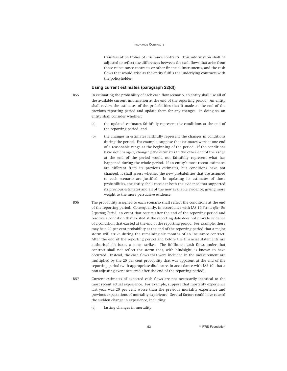transfers of portfolios of insurance contracts. This information shall be adjusted to reflect the differences between the cash flows that arise from those reinsurance contracts or other financial instruments, and the cash flows that would arise as the entity fulfils the underlying contracts with the policyholder.

### **Using current estimates (paragraph 22(d))**

B55 In estimating the probability of each cash flow scenario, an entity shall use all of the available current information at the end of the reporting period. An entity shall review the estimates of the probabilities that it made at the end of the previous reporting period and update them for any changes. In doing so, an entity shall consider whether:

- (a) the updated estimates faithfully represent the conditions at the end of the reporting period; and
- (b) the changes in estimates faithfully represent the changes in conditions during the period. For example, suppose that estimates were at one end of a reasonable range at the beginning of the period. If the conditions have not changed, changing the estimates to the other end of the range at the end of the period would not faithfully represent what has happened during the whole period. If an entity's most recent estimates are different from its previous estimates, but conditions have not changed, it shall assess whether the new probabilities that are assigned to each scenario are justified. In updating its estimates of those probabilities, the entity shall consider both the evidence that supported its previous estimates and all of the new available evidence, giving more weight to the more persuasive evidence.
- B56 The probability assigned to each scenario shall reflect the conditions at the end of the reporting period. Consequently, in accordance with IAS 10 *Events after the Reporting Period*, an event that occurs after the end of the reporting period and resolves a condition that existed at the reporting date does not provide evidence of a condition that existed at the end of the reporting period. For example, there may be a 20 per cent probability at the end of the reporting period that a major storm will strike during the remaining six months of an insurance contract. After the end of the reporting period and before the financial statements are authorised for issue, a storm strikes. The fulfilment cash flows under that contract shall not reflect the storm that, with hindsight, is known to have occurred. Instead, the cash flows that were included in the measurement are multiplied by the 20 per cent probability that was apparent at the end of the reporting period (with appropriate disclosure, in accordance with IAS 10, that a non-adjusting event occurred after the end of the reporting period).
- B57 Current estimates of expected cash flows are not necessarily identical to the most recent actual experience. For example, suppose that mortality experience last year was 20 per cent worse than the previous mortality experience and previous expectations of mortality experience. Several factors could have caused the sudden change in experience, including:
	- (a) lasting changes in mortality;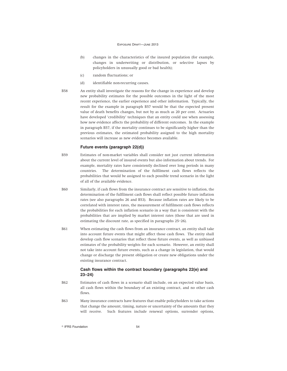- (b) changes in the characteristics of the insured population (for example, changes in underwriting or distribution, or selective lapses by policyholders in unusually good or bad health);
- (c) random fluctuations; or
- (d) identifiable non-recurring causes.
- B58 An entity shall investigate the reasons for the change in experience and develop new probability estimates for the possible outcomes in the light of the most recent experience, the earlier experience and other information. Typically, the result for the example in paragraph B57 would be that the expected present value of death benefits changes, but not by as much as 20 per cent. Actuaries have developed 'credibility' techniques that an entity could use when assessing how new evidence affects the probability of different outcomes. In the example in paragraph B57, if the mortality continues to be significantly higher than the previous estimates, the estimated probability assigned to the high mortality scenarios will increase as new evidence becomes available.

## **Future events (paragraph 22(d))**

- B59 Estimates of non-market variables shall consider not just current information about the current level of insured events but also information about trends. For example, mortality rates have consistently declined over long periods in many countries. The determination of the fulfilment cash flows reflects the probabilities that would be assigned to each possible trend scenario in the light of all of the available evidence.
- B60 Similarly, if cash flows from the insurance contract are sensitive to inflation, the determination of the fulfilment cash flows shall reflect possible future inflation rates (see also paragraphs 26 and B53). Because inflation rates are likely to be correlated with interest rates, the measurement of fulfilment cash flows reflects the probabilities for each inflation scenario in a way that is consistent with the probabilities that are implied by market interest rates (those that are used in estimating the discount rate, as specified in paragraphs 25–26).
- B61 When estimating the cash flows from an insurance contract, an entity shall take into account future events that might affect those cash flows. The entity shall develop cash flow scenarios that reflect those future events, as well as unbiased estimates of the probability weights for each scenario. However, an entity shall not take into account future events, such as a change in legislation, that would change or discharge the present obligation or create new obligations under the existing insurance contract.

## **Cash flows within the contract boundary (paragraphs 22(e) and 23–24)**

- B62 Estimates of cash flows in a scenario shall include, on an expected value basis, all cash flows within the boundary of an existing contract, and no other cash flows.
- B63 Many insurance contracts have features that enable policyholders to take actions that change the amount, timing, nature or uncertainty of the amounts that they will receive. Such features include renewal options, surrender options,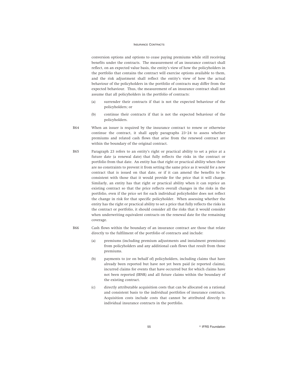conversion options and options to cease paying premiums while still receiving benefits under the contracts. The measurement of an insurance contract shall reflect, on an expected value basis, the entity's view of how the policyholders in the portfolio that contains the contract will exercise options available to them, and the risk adjustment shall reflect the entity's view of how the actual behaviour of the policyholders in the portfolio of contracts may differ from the expected behaviour. Thus, the measurement of an insurance contract shall not assume that all policyholders in the portfolio of contracts:

- (a) surrender their contracts if that is not the expected behaviour of the policyholders; or
- (b) continue their contracts if that is not the expected behaviour of the policyholders.
- B64 When an issuer is required by the insurance contract to renew or otherwise continue the contract, it shall apply paragraphs 23–24 to assess whether premiums and related cash flows that arise from the renewed contract are within the boundary of the original contract.
- B65 Paragraph 23 refers to an entity's right or practical ability to set a price at a future date (a renewal date) that fully reflects the risks in the contract or portfolio from that date. An entity has that right or practical ability when there are no constraints to prevent it from setting the same price as it would for a new contract that is issued on that date, or if it can amend the benefits to be consistent with those that it would provide for the price that it will charge. Similarly, an entity has that right or practical ability when it can reprice an existing contract so that the price reflects overall changes in the risks in the portfolio, even if the price set for each individual policyholder does not reflect the change in risk for that specific policyholder. When assessing whether the entity has the right or practical ability to set a price that fully reflects the risks in the contract or portfolio, it should consider all the risks that it would consider when underwriting equivalent contracts on the renewal date for the remaining coverage.
- B66 Cash flows within the boundary of an insurance contract are those that relate directly to the fulfilment of the portfolio of contracts and include:
	- (a) premiums (including premium adjustments and instalment premiums) from policyholders and any additional cash flows that result from those premiums.
	- (b) payments to (or on behalf of) policyholders, including claims that have already been reported but have not yet been paid (ie reported claims), incurred claims for events that have occurred but for which claims have not been reported (IBNR) and all future claims within the boundary of the existing contract.
	- (c) directly attributable acquisition costs that can be allocated on a rational and consistent basis to the individual portfolios of insurance contracts. Acquisition costs include costs that cannot be attributed directly to individual insurance contracts in the portfolio.

55 **B** IFRS Foundation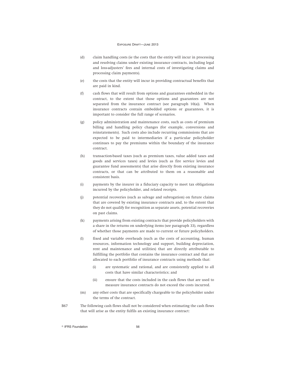- (d) claim handling costs (ie the costs that the entity will incur in processing and resolving claims under existing insurance contracts, including legal and loss-adjusters' fees and internal costs of investigating claims and processing claim payments).
- (e) the costs that the entity will incur in providing contractual benefits that are paid in kind.
- (f) cash flows that will result from options and guarantees embedded in the contract, to the extent that those options and guarantees are not separated from the insurance contract (see paragraph 10(a)). When insurance contracts contain embedded options or guarantees, it is important to consider the full range of scenarios.
- (g) policy administration and maintenance costs, such as costs of premium billing and handling policy changes (for example, conversions and reinstatements). Such costs also include recurring commissions that are expected to be paid to intermediaries if a particular policyholder continues to pay the premiums within the boundary of the insurance contract.
- (h) transaction-based taxes (such as premium taxes, value added taxes and goods and services taxes) and levies (such as fire service levies and guarantee fund assessments) that arise directly from existing insurance contracts, or that can be attributed to them on a reasonable and consistent basis.
- (i) payments by the insurer in a fiduciary capacity to meet tax obligations incurred by the policyholder, and related receipts.
- (j) potential recoveries (such as salvage and subrogation) on future claims that are covered by existing insurance contracts and, to the extent that they do not qualify for recognition as separate assets, potential recoveries on past claims.
- (k) payments arising from existing contracts that provide policyholders with a share in the returns on underlying items (see paragraph 33), regardless of whether those payments are made to current or future policyholders.
- (l) fixed and variable overheads (such as the costs of accounting, human resources, information technology and support, building depreciation, rent and maintenance and utilities) that are directly attributable to fulfilling the portfolio that contains the insurance contract and that are allocated to each portfolio of insurance contracts using methods that:
	- (i) are systematic and rational, and are consistently applied to all costs that have similar characteristics; and
	- (ii) ensure that the costs included in the cash flows that are used to measure insurance contracts do not exceed the costs incurred.
- (m) any other costs that are specifically chargeable to the policyholder under the terms of the contract.
- B67 The following cash flows shall not be considered when estimating the cash flows that will arise as the entity fulfils an existing insurance contract: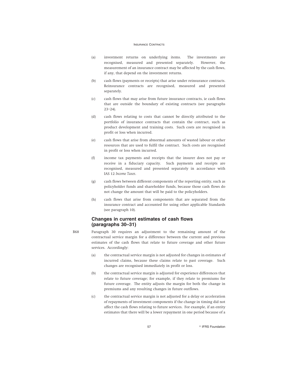- (a) investment returns on underlying items. The investments are recognised, measured and presented separately. However, the measurement of an insurance contract may be affected by the cash flows, if any, that depend on the investment returns.
- (b) cash flows (payments or receipts) that arise under reinsurance contracts. Reinsurance contracts are recognised, measured and presented separately.
- (c) cash flows that may arise from future insurance contracts, ie cash flows that are outside the boundary of existing contracts (see paragraphs 23–24).
- (d) cash flows relating to costs that cannot be directly attributed to the portfolio of insurance contracts that contain the contract, such as product development and training costs. Such costs are recognised in profit or loss when incurred.
- (e) cash flows that arise from abnormal amounts of wasted labour or other resources that are used to fulfil the contract. Such costs are recognised in profit or loss when incurred.
- (f) income tax payments and receipts that the insurer does not pay or receive in a fiduciary capacity. Such payments and receipts are recognised, measured and presented separately in accordance with IAS 12 *Income Taxes*.
- (g) cash flows between different components of the reporting entity, such as policyholder funds and shareholder funds, because those cash flows do not change the amount that will be paid to the policyholders.
- (h) cash flows that arise from components that are separated from the insurance contract and accounted for using other applicable Standards (see paragraph 10).

## **Changes in current estimates of cash flows (paragraphs 30–31)**

- B68 Paragraph 30 requires an adjustment to the remaining amount of the contractual service margin for a difference between the current and previous estimates of the cash flows that relate to future coverage and other future services. Accordingly:
	- (a) the contractual service margin is not adjusted for changes in estimates of incurred claims, because these claims relate to past coverage. Such changes are recognised immediately in profit or loss.
	- (b) the contractual service margin is adjusted for experience differences that relate to future coverage; for example, if they relate to premiums for future coverage. The entity adjusts the margin for both the change in premiums and any resulting changes in future outflows.
	- (c) the contractual service margin is not adjusted for a delay or acceleration of repayments of investment components if the change in timing did not affect the cash flows relating to future services. For example, if an entity estimates that there will be a lower repayment in one period because of a

57 **B** IFRS Foundation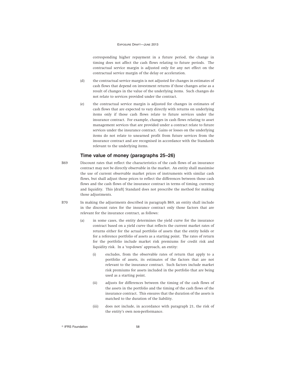corresponding higher repayment in a future period, the change in timing does not affect the cash flows relating to future periods. The contractual service margin is adjusted only for any net effect on the contractual service margin of the delay or acceleration.

- (d) the contractual service margin is not adjusted for changes in estimates of cash flows that depend on investment returns if those changes arise as a result of changes in the value of the underlying items. Such changes do not relate to services provided under the contract.
- (e) the contractual service margin is adjusted for changes in estimates of cash flows that are expected to vary directly with returns on underlying items only if those cash flows relate to future services under the insurance contract. For example, changes in cash flows relating to asset management services that are provided under a contract relate to future services under the insurance contract. Gains or losses on the underlying items do not relate to unearned profit from future services from the insurance contract and are recognised in accordance with the Standards relevant to the underlying items.

### **Time value of money (paragraphs 25–26)**

- B69 Discount rates that reflect the characteristics of the cash flows of an insurance contract may not be directly observable in the market. An entity shall maximise the use of current observable market prices of instruments with similar cash flows, but shall adjust those prices to reflect the differences between those cash flows and the cash flows of the insurance contract in terms of timing, currency and liquidity. This [draft] Standard does not prescribe the method for making those adjustments.
- B70 In making the adjustments described in paragraph B69, an entity shall include in the discount rates for the insurance contract only those factors that are relevant for the insurance contract, as follows:
	- (a) in some cases, the entity determines the yield curve for the insurance contract based on a yield curve that reflects the current market rates of returns either for the actual portfolio of assets that the entity holds or for a reference portfolio of assets as a starting point. The rates of return for the portfolio include market risk premiums for credit risk and liquidity risk. In a 'top-down' approach, an entity:
		- (i) excludes, from the observable rates of return that apply to a portfolio of assets, its estimates of the factors that are not relevant to the insurance contract. Such factors include market risk premiums for assets included in the portfolio that are being used as a starting point.
		- (ii) adjusts for differences between the timing of the cash flows of the assets in the portfolio and the timing of the cash flows of the insurance contract. This ensures that the duration of the assets is matched to the duration of the liability.
		- (iii) does not include, in accordance with paragraph 21, the risk of the entity's own non-performance.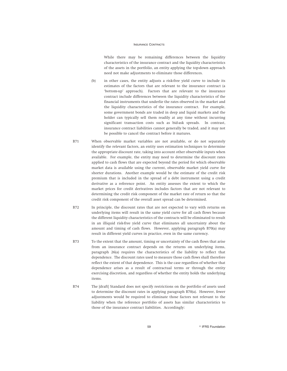While there may be remaining differences between the liquidity characteristics of the insurance contract and the liquidity characteristics of the assets in the portfolio, an entity applying the top-down approach need not make adjustments to eliminate those differences.

- (b) in other cases, the entity adjusts a risk-free yield curve to include its estimates of the factors that are relevant to the insurance contract (a 'bottom-up' approach). Factors that are relevant to the insurance contract include differences between the liquidity characteristics of the financial instruments that underlie the rates observed in the market and the liquidity characteristics of the insurance contract. For example, some government bonds are traded in deep and liquid markets and the holder can typically sell them readily at any time without incurring significant transaction costs such as bid-ask spreads. In contrast, insurance contract liabilities cannot generally be traded, and it may not be possible to cancel the contract before it matures.
- B71 When observable market variables are not available, or do not separately identify the relevant factors, an entity uses estimation techniques to determine the appropriate discount rate, taking into account other observable inputs when available. For example, the entity may need to determine the discount rates applied to cash flows that are expected beyond the period for which observable market data is available using the current, observable market yield curve for shorter durations. Another example would be the estimate of the credit risk premium that is included in the spread of a debt instrument using a credit derivative as a reference point. An entity assesses the extent to which the market prices for credit derivatives includes factors that are not relevant to determining the credit risk component of the market rate of return so that the credit risk component of the overall asset spread can be determined.
- B72 In principle, the discount rates that are not expected to vary with returns on underlying items will result in the same yield curve for all cash flows because the different liquidity characteristics of the contracts will be eliminated to result in an illiquid risk-free yield curve that eliminates all uncertainty about the amount and timing of cash flows. However, applying paragraph B70(a) may result in different yield curves in practice, even in the same currency.
- B73 To the extent that the amount, timing or uncertainty of the cash flows that arise from an insurance contract depends on the returns on underlying items, paragraph 26(a) requires the characteristics of the liability to reflect that dependence. The discount rates used to measure those cash flows shall therefore reflect the extent of that dependence. This is the case regardless of whether that dependence arises as a result of contractual terms or through the entity exercising discretion, and regardless of whether the entity holds the underlying items.
- B74 The [draft] Standard does not specify restrictions on the portfolio of assets used to determine the discount rates in applying paragraph B70(a). However, fewer adjustments would be required to eliminate those factors not relevant to the liability when the reference portfolio of assets has similar characteristics to those of the insurance contract liabilities. Accordingly: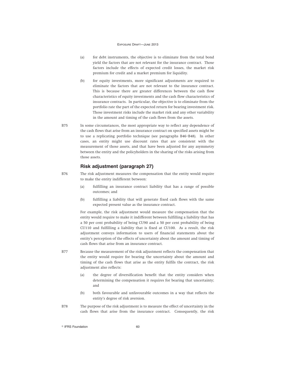- (a) for debt instruments, the objective is to eliminate from the total bond yield the factors that are not relevant for the insurance contract. Those factors include the effects of expected credit losses, the market risk premium for credit and a market premium for liquidity.
- (b) for equity investments, more significant adjustments are required to eliminate the factors that are not relevant to the insurance contract. This is because there are greater differences between the cash flow characteristics of equity investments and the cash flow characteristics of insurance contracts. In particular, the objective is to eliminate from the portfolio rate the part of the expected return for bearing investment risk. Those investment risks include the market risk and any other variability in the amount and timing of the cash flows from the assets.
- B75 In some circumstances, the most appropriate way to reflect any dependence of the cash flows that arise from an insurance contract on specified assets might be to use a replicating portfolio technique (see paragraphs B46–B48). In other cases, an entity might use discount rates that are consistent with the measurement of those assets, and that have been adjusted for any asymmetry between the entity and the policyholders in the sharing of the risks arising from those assets.

# **Risk adjustment (paragraph 27)**

- B76 The risk adjustment measures the compensation that the entity would require to make the entity indifferent between:
	- (a) fulfilling an insurance contract liability that has a range of possible outcomes; and
	- (b) fulfilling a liability that will generate fixed cash flows with the same expected present value as the insurance contract.

For example, the risk adjustment would measure the compensation that the entity would require to make it indifferent between fulfilling a liability that has a 50 per cent probability of being CU90 and a 50 per cent probability of being CU110 and fulfilling a liability that is fixed at CU100. As a result, the risk adjustment conveys information to users of financial statements about the entity's perception of the effects of uncertainty about the amount and timing of cash flows that arise from an insurance contract.

- B77 Because the measurement of the risk adjustment reflects the compensation that the entity would require for bearing the uncertainty about the amount and timing of the cash flows that arise as the entity fulfils the contract, the risk adjustment also reflects:
	- (a) the degree of diversification benefit that the entity considers when determining the compensation it requires for bearing that uncertainty; and
	- (b) both favourable and unfavourable outcomes in a way that reflects the entity's degree of risk aversion.
- B78 The purpose of the risk adjustment is to measure the effect of uncertainty in the cash flows that arise from the insurance contract. Consequently, the risk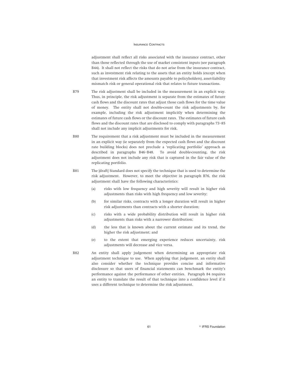adjustment shall reflect all risks associated with the insurance contract, other than those reflected through the use of market consistent inputs (see paragraph B44). It shall not reflect the risks that do not arise from the insurance contract, such as investment risk relating to the assets that an entity holds (except when that investment risk affects the amounts payable to policyholders), asset-liability mismatch risk or general operational risk that relates to future transactions.

- B79 The risk adjustment shall be included in the measurement in an explicit way. Thus, in principle, the risk adjustment is separate from the estimates of future cash flows and the discount rates that adjust those cash flows for the time value of money. The entity shall not double-count the risk adjustments by, for example, including the risk adjustment implicitly when determining the estimates of future cash flows or the discount rates. The estimates of future cash flows and the discount rates that are disclosed to comply with paragraphs 73–85 shall not include any implicit adjustments for risk.
- B80 The requirement that a risk adjustment must be included in the measurement in an explicit way (ie separately from the expected cash flows and the discount rate building blocks) does not preclude a 'replicating portfolio' approach as described in paragraphs B46–B48. To avoid double-counting, the risk adjustment does not include any risk that is captured in the fair value of the replicating portfolio.
- B81 The [draft] Standard does not specify the technique that is used to determine the risk adjustment. However, to meet the objective in paragraph B76, the risk adjustment shall have the following characteristics:
	- (a) risks with low frequency and high severity will result in higher risk adjustments than risks with high frequency and low severity;
	- (b) for similar risks, contracts with a longer duration will result in higher risk adjustments than contracts with a shorter duration;
	- (c) risks with a wide probability distribution will result in higher risk adjustments than risks with a narrower distribution;
	- (d) the less that is known about the current estimate and its trend, the higher the risk adjustment; and
	- (e) to the extent that emerging experience reduces uncertainty, risk adjustments will decrease and vice versa.
- B82 An entity shall apply judgement when determining an appropriate risk adjustment technique to use. When applying that judgement, an entity shall also consider whether the technique provides concise and informative disclosure so that users of financial statements can benchmark the entity's performance against the performance of other entities. Paragraph 84 requires an entity to translate the result of that technique into a confidence level if it uses a different technique to determine the risk adjustment.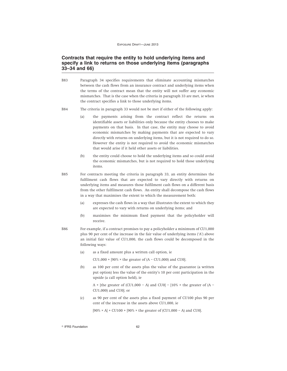# **Contracts that require the entity to hold underlying items and specify a link to returns on those underlying items (paragraphs 33–34 and 66)**

- B83 Paragraph 34 specifies requirements that eliminate accounting mismatches between the cash flows from an insurance contract and underlying items when the terms of the contract mean that the entity will not suffer any economic mismatches. That is the case when the criteria in paragraph 33 are met, ie when the contract specifies a link to those underlying items.
- B84 The criteria in paragraph 33 would not be met if either of the following apply:
	- (a) the payments arising from the contract reflect the returns on identifiable assets or liabilities only because the entity chooses to make payments on that basis. In that case, the entity may choose to avoid economic mismatches by making payments that are expected to vary directly with returns on underlying items, but it is not required to do so. However the entity is not required to avoid the economic mismatches that would arise if it held other assets or liabilities.
	- (b) the entity could choose to hold the underlying items and so could avoid the economic mismatches, but is not required to hold those underlying items.
- B85 For contracts meeting the criteria in paragraph 33, an entity determines the fulfilment cash flows that are expected to vary directly with returns on underlying items and measures those fulfilment cash flows on a different basis from the other fulfilment cash flows. An entity shall decompose the cash flows in a way that maximises the extent to which the measurement both:
	- (a) expresses the cash flows in a way that illustrates the extent to which they are expected to vary with returns on underlying items; and
	- (b) maximises the minimum fixed payment that the policyholder will receive.
- B86 For example, if a contract promises to pay a policyholder a minimum of CU1,000 plus 90 per cent of the increase in the fair value of underlying items ('A') above an initial fair value of CU1,000, the cash flows could be decomposed in the following ways:
	- (a) as a fixed amount plus a written call option, ie

CU1,000 +  $[90\% \times$  the greater of  $(A - CU1,000)$  and CU0];

(b) as 100 per cent of the assets plus the value of the guarantee (a written put option) less the value of the entity's 10 per cent participation in the upside (a call option held), ie

A + [the greater of (CU1,000 – A) and CU0] –  $[10\% \times$  the greater of (A – CU1,000) and CU0]; or

(c) as 90 per cent of the assets plus a fixed payment of CU100 plus 90 per cent of the increase in the assets above CU1,000, ie

 $[90\% \times A] + CU100 + [90\% \times the greater of (CU1,000 - A)$  and CU0].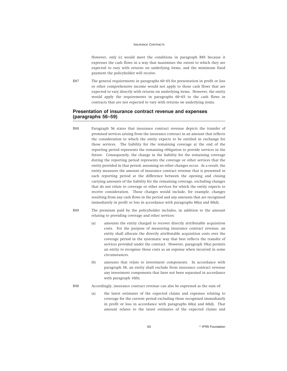However, only (c) would meet the conditions in paragraph B85 because it expresses the cash flows in a way that maximises the extent to which they are expected to vary with returns on underlying items, and the minimum fixed payment the policyholder will receive.

B87 The general requirements in paragraphs 60–65 for presentation in profit or loss or other comprehensive income would not apply to those cash flows that are expected to vary directly with returns on underlying items. However, the entity would apply the requirements in paragraphs 60–65 to the cash flows in contracts that are not expected to vary with returns on underlying items.

## **Presentation of insurance contract revenue and expenses (paragraphs 56–59)**

- B88 Paragraph 56 states that insurance contract revenue depicts the transfer of promised services arising from the insurance contract in an amount that reflects the consideration to which the entity expects to be entitled in exchange for those services. The liability for the remaining coverage at the end of the reporting period represents the remaining obligation to provide services in the future. Consequently, the change in the liability for the remaining coverage during the reporting period represents the coverage or other services that the entity provided in that period, assuming no other changes occur. As a result, the entity measures the amount of insurance contract revenue that is presented in each reporting period at the difference between the opening and closing carrying amounts of the liability for the remaining coverage, excluding changes that do not relate to coverage or other services for which the entity expects to receive consideration. Those changes would include, for example, changes resulting from any cash flows in the period and any amounts that are recognised immediately in profit or loss in accordance with paragraphs 60(a) and 60(d).
- B89 The premium paid by the policyholder includes, in addition to the amount relating to providing coverage and other services:
	- (a) amounts the entity charged to recover directly attributable acquisition costs. For the purpose of measuring insurance contract revenue, an entity shall allocate the directly attributable acquisition costs over the coverage period in the systematic way that best reflects the transfer of services provided under the contract. However, paragraph 39(a) permits an entity to recognise those costs as an expense when incurred in some circumstances.
	- (b) amounts that relate to investment components. In accordance with paragraph 58, an entity shall exclude from insurance contract revenue any investment components that have not been separated in accordance with paragraph 10(b).
- B90 Accordingly, insurance contract revenue can also be expressed as the sum of:
	- (a) the latest estimates of the expected claims and expenses relating to coverage for the current period excluding those recognised immediately in profit or loss in accordance with paragraphs 60(a) and 60(d). That amount relates to the latest estimates of the expected claims and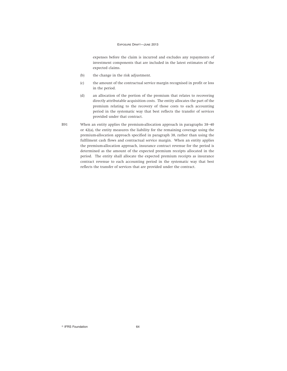expenses before the claim is incurred and excludes any repayments of investment components that are included in the latest estimates of the expected claims.

- (b) the change in the risk adjustment.
- (c) the amount of the contractual service margin recognised in profit or loss in the period.
- (d) an allocation of the portion of the premium that relates to recovering directly attributable acquisition costs. The entity allocates the part of the premium relating to the recovery of those costs to each accounting period in the systematic way that best reflects the transfer of services provided under that contract.
- B91 When an entity applies the premium-allocation approach in paragraphs 38–40 or 42(a), the entity measures the liability for the remaining coverage using the premium-allocation approach specified in paragraph 38, rather than using the fulfilment cash flows and contractual service margin. When an entity applies the premium-allocation approach, insurance contract revenue for the period is determined as the amount of the expected premium receipts allocated in the period. The entity shall allocate the expected premium receipts as insurance contract revenue to each accounting period in the systematic way that best reflects the transfer of services that are provided under the contract.

 $\degree$  IFRS Foundation 64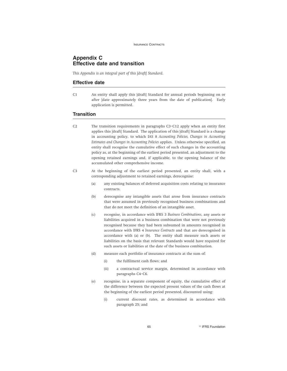# **Appendix C Effective date and transition**

*This Appendix is an integral part of this [draft] Standard.*

## **Effective date**

C1 An entity shall apply this [draft] Standard for annual periods beginning on or after [date approximately three years from the date of publication]. Early application is permitted.

## **Transition**

- C2 The transition requirements in paragraphs C3–C12 apply when an entity first applies this [draft] Standard. The application of this [draft] Standard is a change in accounting policy, to which IAS 8 *Accounting Policies, Changes in Accounting Estimates and Changes in Accounting Policies* applies. Unless otherwise specified, an entity shall recognise the cumulative effect of such changes in the accounting policy as, at the beginning of the earliest period presented, an adjustment to the opening retained earnings and, if applicable, to the opening balance of the accumulated other comprehensive income.
- C3 At the beginning of the earliest period presented, an entity shall, with a corresponding adjustment to retained earnings, derecognise:
	- (a) any existing balances of deferred acquisition costs relating to insurance contracts.
	- (b) derecognise any intangible assets that arose from insurance contracts that were assumed in previously recognised business combinations and that do not meet the definition of an intangible asset.
	- (c) recognise, in accordance with IFRS 3 *Business Combinations*, any assets or liabilities acquired in a business combination that were not previously recognised because they had been subsumed in amounts recognised in accordance with IFRS 4 *Insurance Contracts* and that are derecognised in accordance with (a) or (b). The entity shall measure such assets or liabilities on the basis that relevant Standards would have required for such assets or liabilities at the date of the business combination.
	- (d) measure each portfolio of insurance contracts at the sum of:
		- (i) the fulfilment cash flows; and
		- (ii) a contractual service margin, determined in accordance with paragraphs C4–C6.
	- (e) recognise, in a separate component of equity, the cumulative effect of the difference between the expected present values of the cash flows at the beginning of the earliest period presented, discounted using:
		- (i) current discount rates, as determined in accordance with paragraph 25; and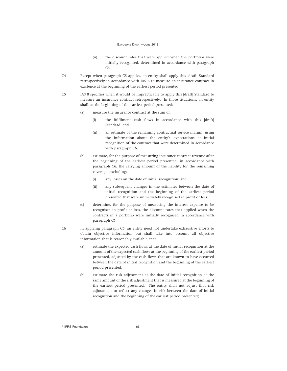- (ii) the discount rates that were applied when the portfolios were initially recognised, determined in accordance with paragraph C6.
- C4 Except when paragraph C5 applies, an entity shall apply this [draft] Standard retrospectively in accordance with IAS 8 to measure an insurance contract in existence at the beginning of the earliest period presented.
- C5 IAS 8 specifies when it would be impracticable to apply this [draft] Standard to measure an insurance contract retrospectively. In those situations, an entity shall, at the beginning of the earliest period presented:
	- (a) measure the insurance contract at the sum of:
		- (i) the fulfilment cash flows in accordance with this [draft] Standard; and
		- (ii) an estimate of the remaining contractual service margin, using the information about the entity's expectations at initial recognition of the contract that were determined in accordance with paragraph C6.
	- (b) estimate, for the purpose of measuring insurance contract revenue after the beginning of the earliest period presented, in accordance with paragraph C6, the carrying amount of the liability for the remaining coverage, excluding:
		- (i) any losses on the date of initial recognition; and
		- (ii) any subsequent changes in the estimates between the date of initial recognition and the beginning of the earliest period presented that were immediately recognised in profit or loss.
	- (c) determine, for the purpose of measuring the interest expense to be recognised in profit or loss, the discount rates that applied when the contracts in a portfolio were initially recognised in accordance with paragraph C6.
- C6 In applying paragraph C5, an entity need not undertake exhaustive efforts to obtain objective information but shall take into account all objective information that is reasonably available and:
	- (a) estimate the expected cash flows at the date of initial recognition at the amount of the expected cash flows at the beginning of the earliest period presented, adjusted by the cash flows that are known to have occurred between the date of initial recognition and the beginning of the earliest period presented;
	- (b) estimate the risk adjustment at the date of initial recognition at the same amount of the risk adjustment that is measured at the beginning of the earliest period presented. The entity shall not adjust that risk adjustment to reflect any changes in risk between the date of initial recognition and the beginning of the earliest period presented;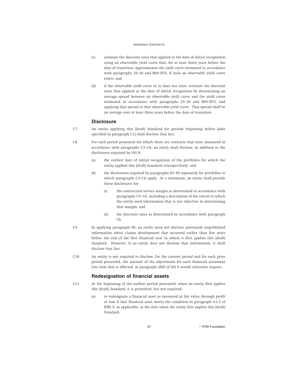- (c) estimate the discount rates that applied at the date of initial recognition using an observable yield curve that, for at least three years before the date of transition, approximates the yield curve estimated in accordance with paragraphs 25–26 and B69–B75, if such an observable yield curve exists; and
- (d) if the observable yield curve in (c) does not exist, estimate the discount rates that applied at the date of initial recognition by determining an average spread between an observable yield curve and the yield curve estimated in accordance with paragraphs 25–26 and B69–B75, and applying that spread to that observable yield curve. That spread shall be an average over at least three years before the date of transition.

## **Disclosure**

- C7 An entity applying this [draft] Standard for periods beginning before [date specified in paragraph C1] shall disclose that fact.
- C8 For each period presented for which there are contracts that were measured in accordance with paragraphs C3–C6, an entity shall disclose, in addition to the disclosures required by IAS 8:
	- (a) the earliest date of initial recognition of the portfolios for which the entity applied this [draft] Standard retrospectively; and
	- (b) the disclosures required by paragraphs 83–85 separately for portfolios to which paragraphs C3–C6 apply. At a minimum, an entity shall provide those disclosures for:
		- (i) the contractual service margin as determined in accordance with paragraphs C5–C6, including a description of the extent to which the entity used information that is not objective in determining that margin; and
		- (ii) the discount rates as determined in accordance with paragraph C6.
- C9 In applying paragraph 90, an entity need not disclose previously unpublished information about claims development that occurred earlier than five years before the end of the first financial year in which it first applies this [draft] Standard. However, if an entity does not disclose that information, it shall disclose that fact.
- C10 An entity is not required to disclose, for the current period and for each prior period presented, the amount of the adjustment for each financial statement line item that is affected, as paragraph 28(f) of IAS 8 would otherwise require.

## **Redesignation of financial assets**

- C11 At the beginning of the earliest period presented, when an entity first applies this [draft] Standard, it is permitted, but not required:
	- (a) to redesignate a financial asset as measured at fair value through profit or loss if that financial asset meets the condition in paragraph 4.1.5 of IFRS 9, as applicable, at the date when the entity first applies this [draft] Standard.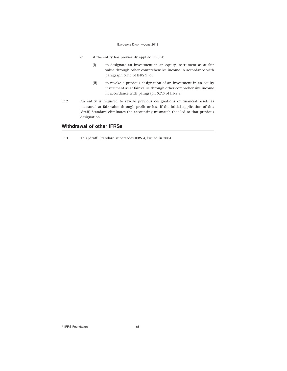- (b) if the entity has previously applied IFRS 9:
	- (i) to designate an investment in an equity instrument as at fair value through other comprehensive income in accordance with paragraph 5.7.5 of IFRS 9; or
	- (ii) to revoke a previous designation of an investment in an equity instrument as at fair value through other comprehensive income in accordance with paragraph 5.7.5 of IFRS 9.
- C12 An entity is required to revoke previous designations of financial assets as measured at fair value through profit or loss if the initial application of this [draft] Standard eliminates the accounting mismatch that led to that previous designation.

## **Withdrawal of other IFRSs**

C13 This [draft] Standard supersedes IFRS 4, issued in 2004.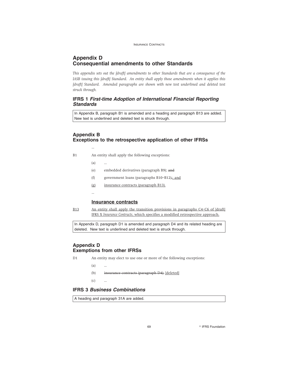# **Appendix D Consequential amendments to other Standards**

*This appendix sets out the [draft] amendments to other Standards that are a consequence of the IASB issuing this [draft] Standard. An entity shall apply those amendments when it applies this [draft] Standard. Amended paragraphs are shown with new text underlined and deleted text struck through.*

# **IFRS 1 First-time Adoption of International Financial Reporting Standards**

In Appendix B, paragraph B1 is amended and a heading and paragraph B13 are added. New text is underlined and deleted text is struck through.

# **Appendix B Exceptions to the retrospective application of other IFRSs**

- B1 An entity shall apply the following exceptions:
	- (a) ...

…

- (e) embedded derivatives (paragraph B9); and
- (f) government loans (paragraphs B10–B12).; and
- (g) insurance contracts (paragraph B13).
- …

## **Insurance contracts**

B13 An entity shall apply the transition provisions in paragraphs C4–C6 of [draft] IFRS X *Insurance Contracts*, which specifies a modified retrospective approach.

In Appendix D, paragraph D1 is amended and paragraph D4 and its related heading are deleted. New text is underlined and deleted text is struck through.

## **Appendix D Exemptions from other IFRSs**

- D1 An entity may elect to use one or more of the following exceptions:
	- $(a)$
	- (b) insurance contracts (paragraph D4); [deleted]
	- $(c)$

## **IFRS 3 Business Combinations**

A heading and paragraph 31A are added.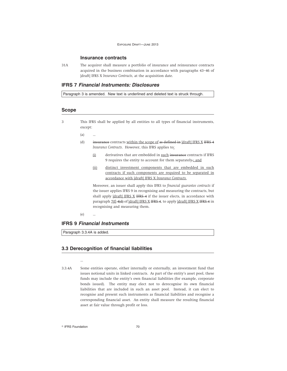### **Insurance contracts**

31A The acquirer shall measure a portfolio of insurance and reinsurance contracts acquired in the business combination in accordance with paragraphs 43–46 of [draft] IFRS X *Insurance Contracts*, at the acquisition date.

## **IFRS 7 Financial Instruments: Disclosures**

Paragraph 3 is amended. New text is underlined and deleted text is struck through.

## **Scope**

- 3 This IFRS shall be applied by all entities to all types of financial instruments, except:
	- (a) …
	- (d) insurance contracts within the scope of as defined in [draft] IFRS X IFRS 4 Insurance Contracts. However, this IFRS applies to:
		- (i) derivatives that are embedded in such insurance contracts if IFRS 9 requires the entity to account for them separately-; and
		- (ii) distinct investment components that are embedded in such contracts if such components are required to be separated in accordance with [draft] IFRS X *Insurance Contracts*.

Moreover, an issuer shall apply this IFRS to *financial guarantee contracts* if the issuer applies IFRS 9 in recognising and measuring the contracts, but shall apply [draft] IFRS X IFRS 4 if the issuer elects, in accordance with paragraph  $Z(f)$  4(d) of [draft] IFRS X IFRS 4, to apply [draft] IFRS X IFRS 4 in recognising and measuring them.

(e) …

## **IFRS 9 Financial Instruments**

Paragraph 3.3.4A is added.

…

### **3.3 Derecognition of financial liabilities**

3.3.4A Some entities operate, either internally or externally, an investment fund that issues notional units in linked contracts. As part of the entity's asset pool, these funds may include the entity's own financial liabilities (for example, corporate bonds issued). The entity may elect not to derecognise its own financial liabilities that are included in such an asset pool. Instead, it can elect to recognise and present such instruments as financial liabilities and recognise a corresponding financial asset. An entity shall measure the resulting financial asset at fair value through profit or loss.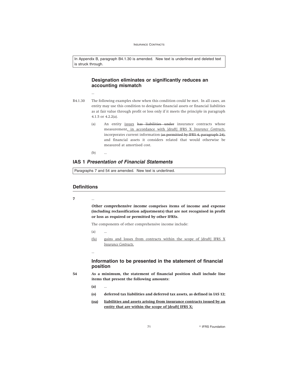In Appendix B, paragraph B4.1.30 is amended. New text is underlined and deleted text is struck through.

## **Designation eliminates or significantly reduces an accounting mismatch**

- ...
- B4.1.30 The following examples show when this condition could be met. In all cases, an entity may use this condition to designate financial assets or financial liabilities as at fair value through profit or loss only if it meets the principle in paragraph 4.1.5 or 4.2.2(a).
	- (a) An entity issues has liabilities under insurance contracts whose measurement, in accordance with [draft] IFRS X *Insurance Contracts*, incorporates current information (as permitted by IFRS 4, paragraph 24), and financial assets it considers related that would otherwise be measured at amortised cost.

 $(b)$ 

# **IAS 1 Presentation of Financial Statements**

Paragraphs 7 and 54 are amended. New text is underlined.

### **Definitions**

**7** ...

*Other comprehensive income* **comprises items of income and expense (including reclassification adjustments) that are not recognised in profit or loss as required or permitted by other IFRSs.**

The components of other comprehensive income include:

 $(a)$ 

…

(fa) gains and losses from contracts within the scope of [draft] IFRS X *Insurance Contracts*.

# **Information to be presented in the statement of financial position**

- 
- **54 As a minimum, the statement of financial position shall include line items that present the following amounts:**

**(a)** ...

- **(o) deferred tax liabilities and deferred tax assets, as defined in IAS 12;**
- **(oa) liabilities and assets arising from insurance contracts issued by an entity that are within the scope of [draft] IFRS X;**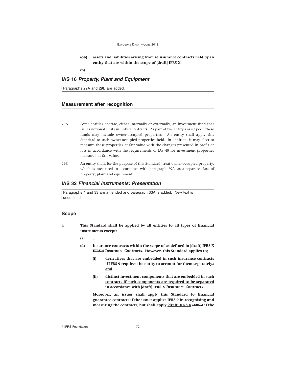EXPOSURE DRAFT—JUNE 2013

### **(ob) assets and liabilities arising from reinsurance contracts held by an entity that are within the scope of [draft] IFRS X;**

**(p)** …

### **IAS 16 Property, Plant and Equipment**

Paragraphs 29A and 29B are added.

### **Measurement after recognition**

…

- 29A Some entities operate, either internally or externally, an investment fund that issues notional units in linked contracts. As part of the entity's asset pool, these funds may include owner-occupied properties. An entity shall apply this Standard to such owner-occupied properties held. In addition, it may elect to measure those properties at fair value with the changes presented in profit or loss in accordance with the requirements of IAS 40 for investment properties measured at fair value.
- 29B An entity shall, for the purpose of this Standard, treat owner-occupied property, which is measured in accordance with paragraph 29A, as a separate class of property, plant and equipment.

### **IAS 32 Financial Instruments: Presentation**

Paragraphs 4 and 33 are amended and paragraph 33A is added. New text is underlined.

#### **Scope**

- **4 This Standard shall be applied by all entities to all types of financial instruments except:**
	- **(a)** …
	- **(d) insurance contracts within the scope of as defined in [draft] IFRS X IFRS 4** *Insurance Contracts***. However, this Standard applies to:**
		- **(i) derivatives that are embedded in such insurance contracts if IFRS 9 requires the entity to account for them separately.; and**
		- **(ii) distinct investment components that are embedded in such contracts if such components are required to be separated in accordance with [draft] IFRS X** *Insurance Contracts***.**

**Moreover, an issuer shall apply this Standard to financial guarantee contracts if the issuer applies IFRS 9 in recognising and measuring the contracts, but shall apply [draft] IFRS X IFRS 4 if the**

<sup>©</sup> IFRS Foundation 72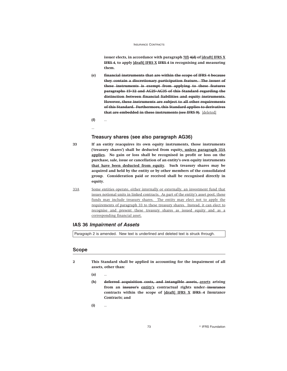**issuer elects, in accordance with paragraph 7(f) 4(d) of [draft] IFRS X IFRS 4, to apply [draft] IFRS X IFRS 4 in recognising and measuring them.**

- **(e) financial instruments that are within the scope of IFRS 4 because they contain a discretionary participation feature. The issuer of these instruments is exempt from applying to these features paragraphs 15–32 and AG25–AG35 of this Standard regarding the distinction between financial liabilities and equity instruments. However, these instruments are subject to all other requirements of this Standard. Furthermore, this Standard applies to derivatives that are embedded in these instruments (see IFRS 9).** [deleted]
- **(f)** ...
- ...

#### **Treasury shares (see also paragraph AG36)**

- **33 If an entity reacquires its own equity instruments, those instruments ('treasury shares') shall be deducted from equity, unless paragraph 33A applies. No gain or loss shall be recognised in profit or loss on the purchase, sale, issue or cancellation of an entity's own equity instruments that have been deducted from equity. Such treasury shares may be acquired and held by the entity or by other members of the consolidated group. Consideration paid or received shall be recognised directly in equity.**
- 33A Some entities operate, either internally or externally, an investment fund that issues notional units in linked contracts. As part of the entity's asset pool, these funds may include treasury shares. The entity may elect not to apply the requirements of paragraph 33 to these treasury shares. Instead, it can elect to recognise and present these treasury shares as issued equity and as a corresponding financial asset.

### **IAS 36 Impairment of Assets**

Paragraph 2 is amended. New text is underlined and deleted text is struck through.

### **Scope**

- **2 This Standard shall be applied in accounting for the impairment of all assets, other than:**
	- **(a)** …
	- **(h) deferred acquisition costs, and intangible assets, assets arising from an insurer's entity's contractual rights under insurance contracts within the scope of [draft] IFRS X IFRS 4** *Insurance Contracts***; and**

**(i)** …

73 **Research Street Section** PIFRS Foundation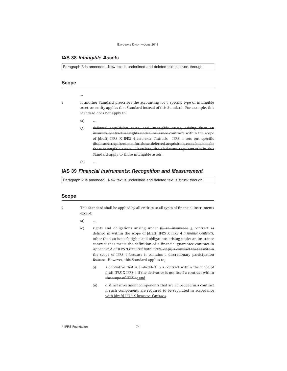### **IAS 38 Intangible Assets**

Paragraph 3 is amended. New text is underlined and deleted text is struck through.

## **Scope**

3 If another Standard prescribes the accounting for a specific type of intangible asset, an entity applies that Standard instead of this Standard. For example, this Standard does not apply to:

(a) …

…

(g) deferred acquisition costs, and intangible assets, arising from an insurer's contractual rights under insurance contracts within the scope of [draft] IFRS X IFRS 4 *Insurance Contracts*. IFRS 4 sets out specific disclosure requirements for those deferred acquisition costs but not for those intangible assets. Therefore, the disclosure requirements in this Standard apply to those intangible assets.

 $(h)$ 

### **IAS 39 Financial Instruments: Recognition and Measurement**

Paragraph 2 is amended. New text is underlined and deleted text is struck through.

#### **Scope**

- 2 This Standard shall be applied by all entities to all types of financial instruments except:
	- (a) …
	- (e) rights and obligations arising under  $(i)$  an insurance a contract as defined in within the scope of [draft] IFRS X IFRS 4 *Insurance Contracts*, other than an issuer's rights and obligations arising under an insurance contract that meets the definition of a financial guarantee contract in Appendix A of IFRS 9 *Financial Instruments*, or (ii) a contract that is within the scope of IFRS 4 because it contains a discretionary participation feature. However, this Standard applies to:
		- (i) a derivative that is embedded in a contract within the scope of draft IFRS X IFRS 4 if the derivative is not itself a contract within the scope of IFRS 4; and
		- (ii) distinct investment components that are embedded in a contract if such components are required to be separated in accordance with [draft] IFRS X *Insurance Contracts*.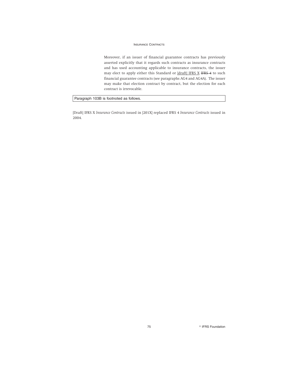Moreover, if an issuer of financial guarantee contracts has previously asserted explicitly that it regards such contracts as insurance contracts and has used accounting applicable to insurance contracts, the issuer may elect to apply either this Standard or [draft] IFRS X IFRS 4 to such financial guarantee contracts (see paragraphs AG4 and AG4A). The issuer may make that election contract by contract, but the election for each contract is irrevocable.

Paragraph 103B is footnoted as follows.

[Draft] IFRS X *Insurance Contracts* issued in [201X] replaced IFRS 4 *Insurance Contracts* issued in 2004.

75 **Participal Executive State of PERS Foundation**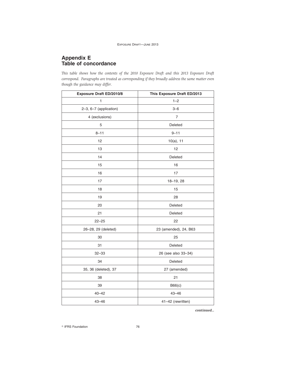## **Appendix E Table of concordance**

*This table shows how the contents of the 2010 Exposure Draft and this 2013 Exposure Draft correspond. Paragraphs are treated as corresponding if they broadly address the same matter even though the guidance may differ.*

| <b>Exposure Draft ED/2010/8</b> | This Exposure Draft ED/2013 |
|---------------------------------|-----------------------------|
| 1                               | $1 - 2$                     |
| 2-3, 6-7 (application)          | $3 - 6$                     |
| 4 (exclusions)                  | $\overline{7}$              |
| 5                               | Deleted                     |
| $8 - 11$                        | $9 - 11$                    |
| 12                              | $10(a)$ , 11                |
| 13                              | 12                          |
| 14                              | Deleted                     |
| 15                              | 16                          |
| 16                              | 17                          |
| 17                              | 18-19, 28                   |
| 18                              | 15                          |
| 19                              | 28                          |
| 20                              | Deleted                     |
| 21                              | Deleted                     |
| $22 - 25$                       | 22                          |
| 26-28, 29 (deleted)             | 23 (amended), 24, B63       |
| 30                              | 25                          |
| 31                              | Deleted                     |
| $32 - 33$                       | 26 (see also 33-34)         |
| 34                              | Deleted                     |
| 35, 36 (deleted), 37            | 27 (amended)                |
| 38                              | 21                          |
| 39                              | B66(c)                      |
| $40 - 42$                       | $43 - 46$                   |
| $43 - 46$                       | 41-42 (rewritten)           |

*continued...*

<sup>©</sup> IFRS Foundation 76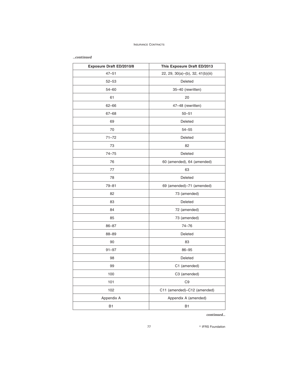#### *...continued*

| <b>Exposure Draft ED/2010/8</b> | This Exposure Draft ED/2013       |
|---------------------------------|-----------------------------------|
| $47 - 51$                       | 22, 29, 30(a)–(b), 32, 41(b)(iii) |
| $52 - 53$                       | Deleted                           |
| $54 - 60$                       | 35-40 (rewritten)                 |
| 61                              | 20                                |
| $62 - 66$                       | 47-48 (rewritten)                 |
| $67 - 68$                       | $50 - 51$                         |
| 69                              | Deleted                           |
| 70                              | $54 - 55$                         |
| $71 - 72$                       | Deleted                           |
| 73                              | 82                                |
| $74 - 75$                       | Deleted                           |
| 76                              | 60 (amended), 64 (amended)        |
| 77                              | 63                                |
| 78                              | Deleted                           |
| $79 - 81$                       | 69 (amended)-71 (amended)         |
| 82                              | 73 (amended)                      |
| 83                              | Deleted                           |
| 84                              | 72 (amended)                      |
| 85                              | 73 (amended)                      |
| $86 - 87$                       | 74-76                             |
| 88-89                           | Deleted                           |
| 90                              | 83                                |
| $91 - 97$                       | $86 - 95$                         |
| 98                              | Deleted                           |
| 99                              | C1 (amended)                      |
| 100                             | C3 (amended)                      |
| 101                             | C <sub>9</sub>                    |
| 102                             | C11 (amended)-C12 (amended)       |
| Appendix A                      | Appendix A (amended)              |
| <b>B1</b>                       | <b>B1</b>                         |

*continued...*

**27 R** IFRS Foundation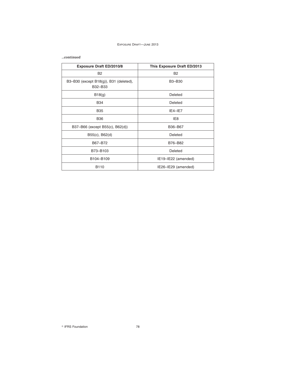#### EXPOSURE DRAFT—JUNE 2013

#### *...continued*

| <b>Exposure Draft ED/2010/8</b>                   | This Exposure Draft ED/2013 |
|---------------------------------------------------|-----------------------------|
| <b>B2</b>                                         | <b>B2</b>                   |
| B3-B30 (except B18(g)), B31 (deleted),<br>B32-B33 | B3-B30                      |
| B18(q)                                            | Deleted                     |
| <b>B34</b>                                        | Deleted                     |
| <b>B35</b>                                        | $IE4-IE7$                   |
| <b>B36</b>                                        | IE8                         |
| B37-B66 (except B55(c), B62(d))                   | B36-B67                     |
| B55(c), B62(d)                                    | Deleted                     |
| B67-B72                                           | B76-B82                     |
| B73-B103                                          | Deleted                     |
| B104-B109                                         | IE19-IE22 (amended)         |
| B110                                              | IE26-IE29 (amended)         |

<sup>©</sup> IFRS Foundation 78